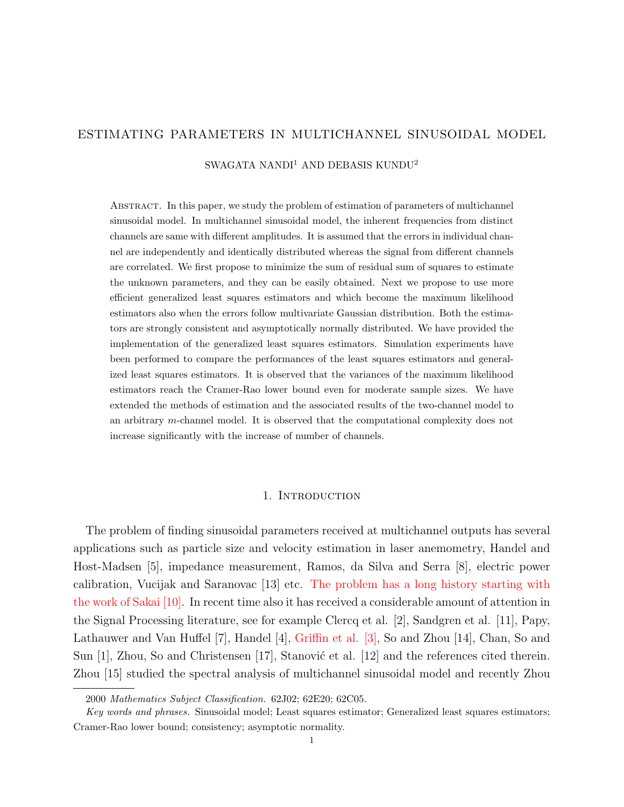# ESTIMATING PARAMETERS IN MULTICHANNEL SINUSOIDAL MODEL

SWAGATA NANDI<sup>1</sup> AND DEBASIS KUNDU<sup>2</sup>

Abstract. In this paper, we study the problem of estimation of parameters of multichannel sinusoidal model. In multichannel sinusoidal model, the inherent frequencies from distinct channels are same with different amplitudes. It is assumed that the errors in individual channel are independently and identically distributed whereas the signal from different channels are correlated. We first propose to minimize the sum of residual sum of squares to estimate the unknown parameters, and they can be easily obtained. Next we propose to use more efficient generalized least squares estimators and which become the maximum likelihood estimators also when the errors follow multivariate Gaussian distribution. Both the estimators are strongly consistent and asymptotically normally distributed. We have provided the implementation of the generalized least squares estimators. Simulation experiments have been performed to compare the performances of the least squares estimators and generalized least squares estimators. It is observed that the variances of the maximum likelihood estimators reach the Cramer-Rao lower bound even for moderate sample sizes. We have extended the methods of estimation and the associated results of the two-channel model to an arbitrary m-channel model. It is observed that the computational complexity does not increase significantly with the increase of number of channels.

#### 1. INTRODUCTION

The problem of finding sinusoidal parameters received at multichannel outputs has several applications such as particle size and velocity estimation in laser anemometry, Handel and Host-Madsen [5], impedance measurement, Ramos, da Silva and Serra [8], electric power calibration, Vucijak and Saranovac [13] etc. The problem has a long history starting with the work of Sakai [10]. In recent time also it has received a considerable amount of attention in the Signal Processing literature, see for example Clercq et al. [2], Sandgren et al. [11], Papy, Lathauwer and Van Huffel [7], Handel [4], Griffin et al. [3], So and Zhou [14], Chan, So and Sun  $[1]$ , Zhou, So and Christensen  $[17]$ , Stanović et al.  $[12]$  and the references cited therein. Zhou [15] studied the spectral analysis of multichannel sinusoidal model and recently Zhou

<sup>2000</sup> Mathematics Subject Classification. 62J02; 62E20; 62C05.

Key words and phrases. Sinusoidal model; Least squares estimator; Generalized least squares estimators; Cramer-Rao lower bound; consistency; asymptotic normality.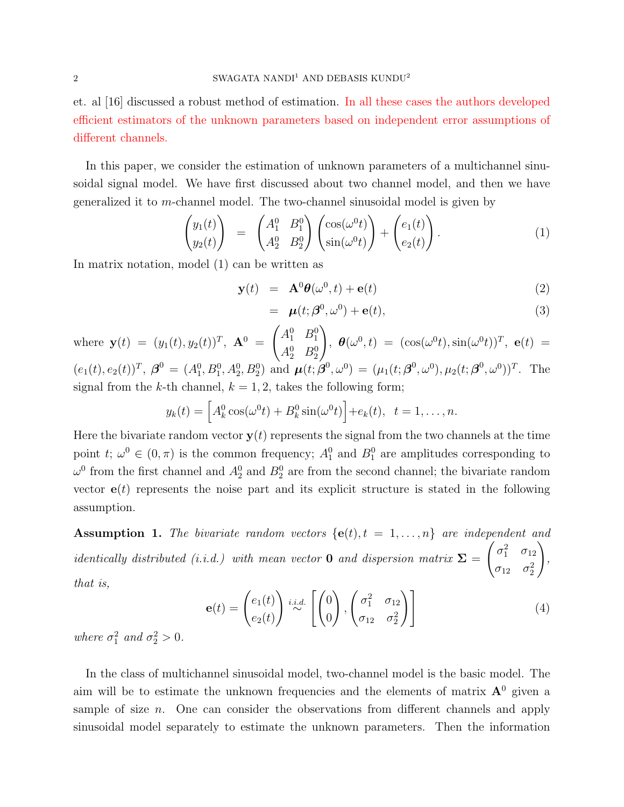et. al [16] discussed a robust method of estimation. In all these cases the authors developed efficient estimators of the unknown parameters based on independent error assumptions of different channels.

In this paper, we consider the estimation of unknown parameters of a multichannel sinusoidal signal model. We have first discussed about two channel model, and then we have generalized it to m-channel model. The two-channel sinusoidal model is given by

$$
\begin{pmatrix} y_1(t) \\ y_2(t) \end{pmatrix} = \begin{pmatrix} A_1^0 & B_1^0 \\ A_2^0 & B_2^0 \end{pmatrix} \begin{pmatrix} \cos(\omega^0 t) \\ \sin(\omega^0 t) \end{pmatrix} + \begin{pmatrix} e_1(t) \\ e_2(t) \end{pmatrix} . \tag{1}
$$

In matrix notation, model (1) can be written as

$$
\mathbf{y}(t) = \mathbf{A}^0 \boldsymbol{\theta}(\omega^0, t) + \mathbf{e}(t) \tag{2}
$$

$$
= \boldsymbol{\mu}(t; \boldsymbol{\beta}^0, \omega^0) + \mathbf{e}(t), \tag{3}
$$

where  $\mathbf{y}(t) = (y_1(t), y_2(t))^T$ ,  $\mathbf{A}^0 =$  $\left(A_1^0 \quad B_1^0\right)$  $A_2^0$   $B_2^0$  $\setminus$  $\theta(\omega^0, t) = (\cos(\omega^0 t), \sin(\omega^0 t))^T, e(t) =$  $(e_1(t), e_2(t))^T$ ,  $\boldsymbol{\beta}^0 = (A_1^0, B_1^0, A_2^0, B_2^0)$  and  $\boldsymbol{\mu}(t; \boldsymbol{\beta}^0, \omega^0) = (\mu_1(t; \boldsymbol{\beta}^0, \omega^0), \mu_2(t; \boldsymbol{\beta}^0, \omega^0))^T$ . The signal from the k-th channel,  $k = 1, 2$ , takes the following form;

$$
y_k(t) = \left[A_k^0 \cos(\omega^0 t) + B_k^0 \sin(\omega^0 t)\right] + e_k(t), \quad t = 1, \dots, n.
$$

Here the bivariate random vector  $y(t)$  represents the signal from the two channels at the time point t;  $\omega^0 \in (0, \pi)$  is the common frequency;  $A_1^0$  and  $B_1^0$  are amplitudes corresponding to  $\omega^0$  from the first channel and  $A_2^0$  and  $B_2^0$  are from the second channel; the bivariate random vector  $e(t)$  represents the noise part and its explicit structure is stated in the following assumption.

Assumption 1. The bivariate random vectors  $\{e(t), t = 1, \ldots, n\}$  are independent and identically distributed (i.i.d.) with mean vector **0** and dispersion matrix  $\Sigma$  =  $\int \sigma_1^2 \quad \sigma_{12}$  $\sigma_{12}$   $\sigma_2^2$  $\setminus$ , that is,

$$
\mathbf{e}(t) = \begin{pmatrix} e_1(t) \\ e_2(t) \end{pmatrix} \stackrel{i.i.d.}{\sim} \left[ \begin{pmatrix} 0 \\ 0 \end{pmatrix}, \begin{pmatrix} \sigma_1^2 & \sigma_{12} \\ \sigma_{12} & \sigma_2^2 \end{pmatrix} \right]
$$
 (4)

where  $\sigma_1^2$  and  $\sigma_2^2 > 0$ .

In the class of multichannel sinusoidal model, two-channel model is the basic model. The aim will be to estimate the unknown frequencies and the elements of matrix  $A^0$  given a sample of size  $n$ . One can consider the observations from different channels and apply sinusoidal model separately to estimate the unknown parameters. Then the information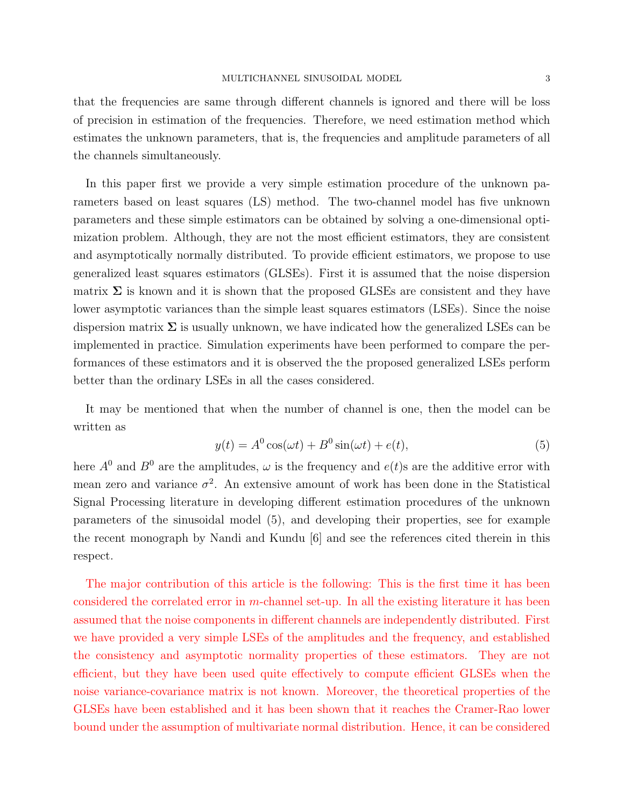that the frequencies are same through different channels is ignored and there will be loss of precision in estimation of the frequencies. Therefore, we need estimation method which estimates the unknown parameters, that is, the frequencies and amplitude parameters of all the channels simultaneously.

In this paper first we provide a very simple estimation procedure of the unknown parameters based on least squares (LS) method. The two-channel model has five unknown parameters and these simple estimators can be obtained by solving a one-dimensional optimization problem. Although, they are not the most efficient estimators, they are consistent and asymptotically normally distributed. To provide efficient estimators, we propose to use generalized least squares estimators (GLSEs). First it is assumed that the noise dispersion matrix  $\Sigma$  is known and it is shown that the proposed GLSEs are consistent and they have lower asymptotic variances than the simple least squares estimators (LSEs). Since the noise dispersion matrix  $\Sigma$  is usually unknown, we have indicated how the generalized LSEs can be implemented in practice. Simulation experiments have been performed to compare the performances of these estimators and it is observed the the proposed generalized LSEs perform better than the ordinary LSEs in all the cases considered.

It may be mentioned that when the number of channel is one, then the model can be written as

$$
y(t) = A^0 \cos(\omega t) + B^0 \sin(\omega t) + e(t), \tag{5}
$$

here  $A^0$  and  $B^0$  are the amplitudes,  $\omega$  is the frequency and  $e(t)$ s are the additive error with mean zero and variance  $\sigma^2$ . An extensive amount of work has been done in the Statistical Signal Processing literature in developing different estimation procedures of the unknown parameters of the sinusoidal model (5), and developing their properties, see for example the recent monograph by Nandi and Kundu [6] and see the references cited therein in this respect.

The major contribution of this article is the following: This is the first time it has been considered the correlated error in m-channel set-up. In all the existing literature it has been assumed that the noise components in different channels are independently distributed. First we have provided a very simple LSEs of the amplitudes and the frequency, and established the consistency and asymptotic normality properties of these estimators. They are not efficient, but they have been used quite effectively to compute efficient GLSEs when the noise variance-covariance matrix is not known. Moreover, the theoretical properties of the GLSEs have been established and it has been shown that it reaches the Cramer-Rao lower bound under the assumption of multivariate normal distribution. Hence, it can be considered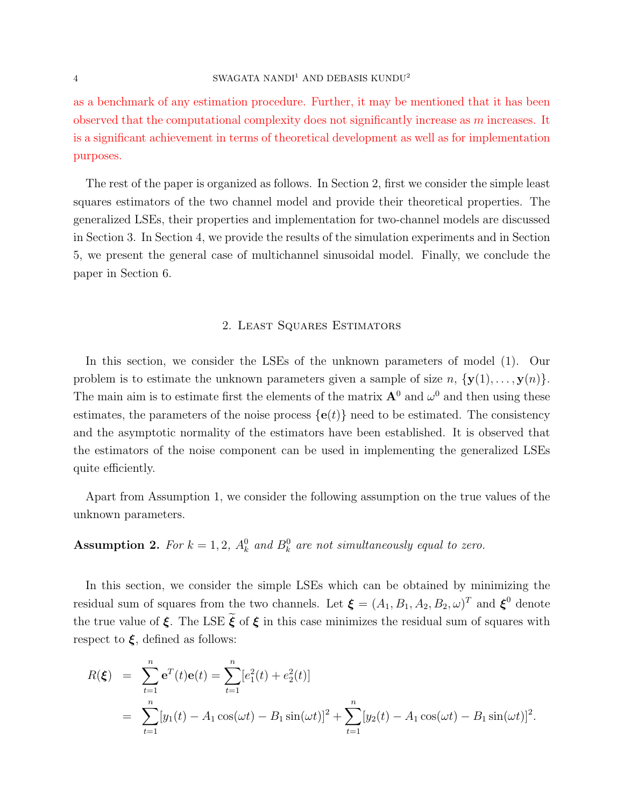### $4\,$  SWAGATA NANDI $^1$  AND DEBASIS KUNDU $^2$

as a benchmark of any estimation procedure. Further, it may be mentioned that it has been observed that the computational complexity does not significantly increase as  $m$  increases. It is a significant achievement in terms of theoretical development as well as for implementation purposes.

The rest of the paper is organized as follows. In Section 2, first we consider the simple least squares estimators of the two channel model and provide their theoretical properties. The generalized LSEs, their properties and implementation for two-channel models are discussed in Section 3. In Section 4, we provide the results of the simulation experiments and in Section 5, we present the general case of multichannel sinusoidal model. Finally, we conclude the paper in Section 6.

### 2. Least Squares Estimators

In this section, we consider the LSEs of the unknown parameters of model (1). Our problem is to estimate the unknown parameters given a sample of size  $n, \{y(1), \ldots, y(n)\}.$ The main aim is to estimate first the elements of the matrix  $A^0$  and  $\omega^0$  and then using these estimates, the parameters of the noise process  $\{e(t)\}\$ need to be estimated. The consistency and the asymptotic normality of the estimators have been established. It is observed that the estimators of the noise component can be used in implementing the generalized LSEs quite efficiently.

Apart from Assumption 1, we consider the following assumption on the true values of the unknown parameters.

**Assumption 2.** For  $k = 1, 2, A_k^0$  and  $B_k^0$  are not simultaneously equal to zero.

In this section, we consider the simple LSEs which can be obtained by minimizing the residual sum of squares from the two channels. Let  $\boldsymbol{\xi} = (A_1, B_1, A_2, B_2, \omega)^T$  and  $\boldsymbol{\xi}^0$  denote the true value of  $\xi$ . The LSE  $\tilde{\xi}$  of  $\xi$  in this case minimizes the residual sum of squares with respect to  $\xi$ , defined as follows:

$$
R(\boldsymbol{\xi}) = \sum_{t=1}^{n} e^{T}(t) e(t) = \sum_{t=1}^{n} [e_{1}^{2}(t) + e_{2}^{2}(t)]
$$
  
= 
$$
\sum_{t=1}^{n} [y_{1}(t) - A_{1} \cos(\omega t) - B_{1} \sin(\omega t)]^{2} + \sum_{t=1}^{n} [y_{2}(t) - A_{1} \cos(\omega t) - B_{1} \sin(\omega t)]^{2}.
$$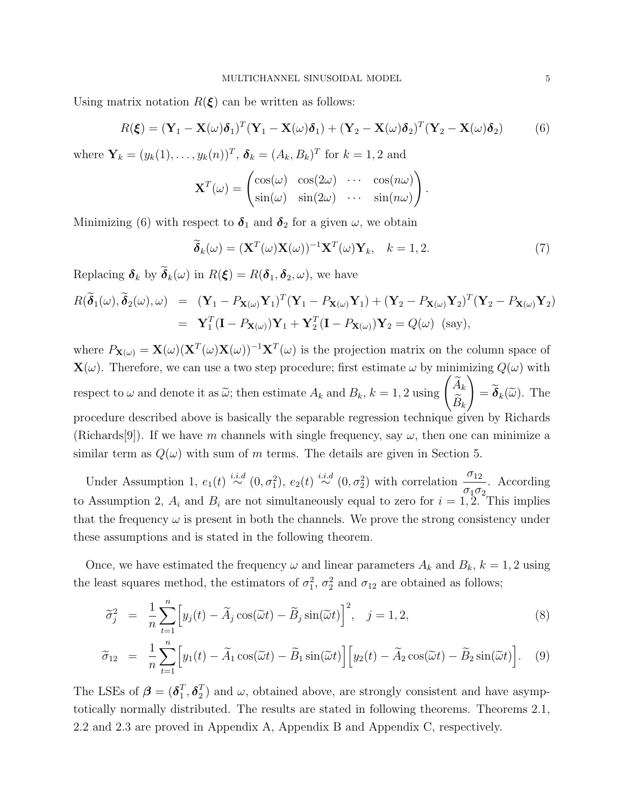Using matrix notation  $R(\xi)$  can be written as follows:

$$
R(\boldsymbol{\xi}) = (\mathbf{Y}_1 - \mathbf{X}(\omega)\boldsymbol{\delta}_1)^T (\mathbf{Y}_1 - \mathbf{X}(\omega)\boldsymbol{\delta}_1) + (\mathbf{Y}_2 - \mathbf{X}(\omega)\boldsymbol{\delta}_2)^T (\mathbf{Y}_2 - \mathbf{X}(\omega)\boldsymbol{\delta}_2)
$$
(6)

where  $\mathbf{Y}_k = (y_k(1), \dots, y_k(n))^T$ ,  $\boldsymbol{\delta}_k = (A_k, B_k)^T$  for  $k = 1, 2$  and

$$
\mathbf{X}^{T}(\omega) = \begin{pmatrix} \cos(\omega) & \cos(2\omega) & \cdots & \cos(n\omega) \\ \sin(\omega) & \sin(2\omega) & \cdots & \sin(n\omega) \end{pmatrix}
$$

Minimizing (6) with respect to  $\delta_1$  and  $\delta_2$  for a given  $\omega$ , we obtain

$$
\widetilde{\boldsymbol{\delta}}_k(\omega) = (\mathbf{X}^T(\omega)\mathbf{X}(\omega))^{-1}\mathbf{X}^T(\omega)\mathbf{Y}_k, \quad k = 1, 2. \tag{7}
$$

.

Replacing  $\delta_k$  by  $\widetilde{\delta}_k(\omega)$  in  $R(\boldsymbol{\xi}) = R(\boldsymbol{\delta}_1, \boldsymbol{\delta}_2, \omega)$ , we have

$$
R(\widetilde{\boldsymbol{\delta}}_1(\omega), \widetilde{\boldsymbol{\delta}}_2(\omega), \omega) = (\mathbf{Y}_1 - P_{\mathbf{X}(\omega)} \mathbf{Y}_1)^T (\mathbf{Y}_1 - P_{\mathbf{X}(\omega)} \mathbf{Y}_1) + (\mathbf{Y}_2 - P_{\mathbf{X}(\omega)} \mathbf{Y}_2)^T (\mathbf{Y}_2 - P_{\mathbf{X}(\omega)} \mathbf{Y}_2)
$$
  
=  $\mathbf{Y}_1^T (\mathbf{I} - P_{\mathbf{X}(\omega)}) \mathbf{Y}_1 + \mathbf{Y}_2^T (\mathbf{I} - P_{\mathbf{X}(\omega)}) \mathbf{Y}_2 = Q(\omega)$  (say),

where  $P_{\mathbf{X}(\omega)} = \mathbf{X}(\omega)(\mathbf{X}^T(\omega)\mathbf{X}(\omega))^{-1}\mathbf{X}^T(\omega)$  is the projection matrix on the column space of  $\mathbf{X}(\omega)$ . Therefore, we can use a two step procedure; first estimate  $\omega$  by minimizing  $Q(\omega)$  with respect to  $\omega$  and denote it as  $\widetilde{\omega}$ ; then estimate  $A_k$  and  $B_k$ ,  $k = 1, 2$  using  $\begin{pmatrix} \widetilde{A}_k \\ \widetilde{B}_k \end{pmatrix}$  $B_k$ .  $\setminus$  $= \boldsymbol{\delta}_k(\widetilde{\omega})$ . The procedure described above is basically the separable regression technique given by Richards (Richards[9]). If we have m channels with single frequency, say  $\omega$ , then one can minimize a similar term as  $Q(\omega)$  with sum of m terms. The details are given in Section 5.

Under Assumption 1,  $e_1(t) \stackrel{i.i.d}{\sim} (0, \sigma_1^2)$ ,  $e_2(t) \stackrel{i.i.d}{\sim} (0, \sigma_2^2)$  with correlation  $\frac{\sigma_{12}}{\sigma_{12}}$  $\sigma_1\sigma_2$ . According to Assumption 2,  $A_i$  and  $B_i$  are not simultaneously equal to zero for  $i = 1, 2$ . This implies that the frequency  $\omega$  is present in both the channels. We prove the strong consistency under these assumptions and is stated in the following theorem.

Once, we have estimated the frequency  $\omega$  and linear parameters  $A_k$  and  $B_k$ ,  $k = 1, 2$  using the least squares method, the estimators of  $\sigma_1^2$ ,  $\sigma_2^2$  and  $\sigma_{12}$  are obtained as follows;

$$
\widetilde{\sigma}_j^2 = \frac{1}{n} \sum_{t=1}^n \left[ y_j(t) - \widetilde{A}_j \cos(\widetilde{\omega}t) - \widetilde{B}_j \sin(\widetilde{\omega}t) \right]^2, \quad j = 1, 2,
$$
\n(8)

$$
\widetilde{\sigma}_{12} = \frac{1}{n} \sum_{t=1}^{n} \Big[ y_1(t) - \widetilde{A}_1 \cos(\widetilde{\omega}t) - \widetilde{B}_1 \sin(\widetilde{\omega}t) \Big] \Big[ y_2(t) - \widetilde{A}_2 \cos(\widetilde{\omega}t) - \widetilde{B}_2 \sin(\widetilde{\omega}t) \Big]. \tag{9}
$$

The LSEs of  $\boldsymbol{\beta} = (\boldsymbol{\delta}_1^T)$  $_{1}^{T},\boldsymbol{\delta}_{2}^{T}$  $2<sup>T</sup>$ ) and  $\omega$ , obtained above, are strongly consistent and have asymptotically normally distributed. The results are stated in following theorems. Theorems 2.1, 2.2 and 2.3 are proved in Appendix A, Appendix B and Appendix C, respectively.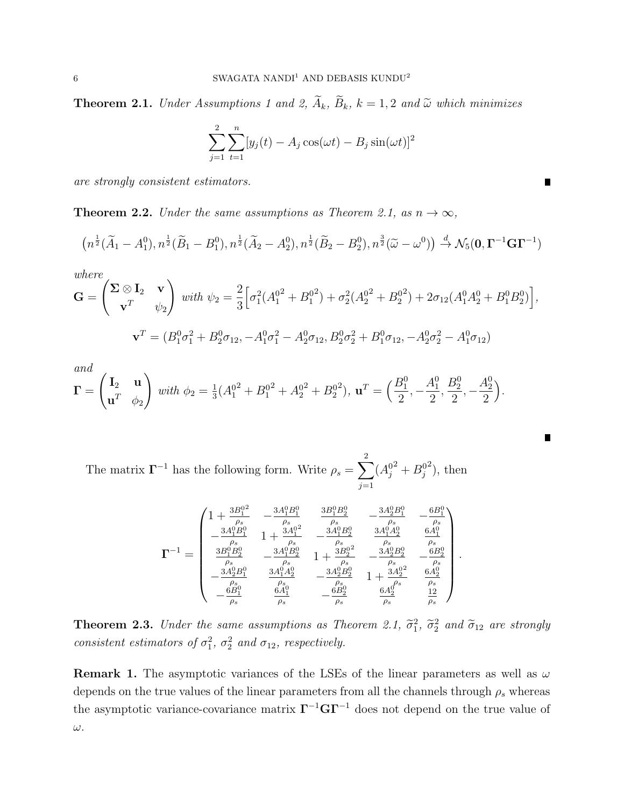**Theorem 2.1.** Under Assumptions 1 and 2,  $\widetilde{A}_k$ ,  $\widetilde{B}_k$ ,  $k = 1, 2$  and  $\widetilde{\omega}$  which minimizes

$$
\sum_{j=1}^{2} \sum_{t=1}^{n} [y_j(t) - A_j \cos(\omega t) - B_j \sin(\omega t)]^2
$$

are strongly consistent estimators.

**Theorem 2.2.** Under the same assumptions as Theorem 2.1, as  $n \to \infty$ ,

$$
(n^{\frac{1}{2}}(\widetilde{A}_1 - A_1^0), n^{\frac{1}{2}}(\widetilde{B}_1 - B_1^0), n^{\frac{1}{2}}(\widetilde{A}_2 - A_2^0), n^{\frac{1}{2}}(\widetilde{B}_2 - B_2^0), n^{\frac{3}{2}}(\widetilde{\omega} - \omega^0)) \stackrel{d}{\rightarrow} \mathcal{N}_5(\mathbf{0}, \mathbf{\Gamma}^{-1} \mathbf{G} \mathbf{\Gamma}^{-1})
$$

where  
\n
$$
\mathbf{G} = \begin{pmatrix} \Sigma \otimes \mathbf{I}_2 & \mathbf{v} \\ \mathbf{v}^T & \psi_2 \end{pmatrix} \text{ with } \psi_2 = \frac{2}{3} \Big[ \sigma_1^2 (A_1^{02} + B_1^{02}) + \sigma_2^2 (A_2^{02} + B_2^{02}) + 2 \sigma_{12} (A_1^0 A_2^0 + B_1^0 B_2^0) \Big],
$$
\n
$$
\mathbf{v}^T = (B_1^0 \sigma_1^2 + B_2^0 \sigma_{12}, -A_1^0 \sigma_1^2 - A_2^0 \sigma_{12}, B_2^0 \sigma_2^2 + B_1^0 \sigma_{12}, -A_2^0 \sigma_2^2 - A_1^0 \sigma_{12})
$$

and

$$
\mathbf{\Gamma} = \begin{pmatrix} \mathbf{I}_2 & \mathbf{u} \\ \mathbf{u}^T & \phi_2 \end{pmatrix} \text{ with } \phi_2 = \frac{1}{3}(A_1^{02} + B_1^{02} + A_2^{02} + B_2^{02}), \mathbf{u}^T = \left(\frac{B_1^0}{2}, -\frac{A_1^0}{2}, \frac{B_2^0}{2}, -\frac{A_2^0}{2}\right).
$$

The matrix  $\Gamma^{-1}$  has the following form. Write  $\rho_s = \sum$ 2  $j=1$  $(A_j^0)$  $^{2}+B_{j}^{0}$  $^{2}$ ), then

$$
\pmb{\Gamma}^{-1} = \left(\begin{matrix} 1+\frac{3B_1^{02}}{\rho_s} & -\frac{3A_1^0B_1^0}{\rho_s} & \frac{3B_1^0B_2^0}{\rho_s} & -\frac{3A_2^0B_1^0}{\rho_s} & -\frac{6B_1^0}{\rho_s} \\ -\frac{3A_1^0B_1^0}{\rho_s^s} & 1+\frac{3A_1^0}{\rho_s^s} & -\frac{3A_1^0B_2^0}{\rho_s} & \frac{3A_1^0A_2^0}{\rho_s} & \frac{6A_1^0}{\rho_s} \\ \frac{3B_1^0B_2^0}{\rho_s^s} & -\frac{3A_1^0B_2^0}{\rho_s^s} & 1+\frac{3B_2^{02}}{\rho_s} & -\frac{3A_2^0B_2^0}{\rho_s} & -\frac{6B_2^0}{\rho_s} \\ -\frac{6B_1^0}{\rho_s} & \frac{6A_1^0}{\rho_s} & -\frac{6B_2^0}{\rho_s} & \frac{6A_2^0}{\rho_s} & \frac{6A_2^0}{\rho_s} & \frac{12}{\rho_s} \end{matrix}\right).
$$

П

**Theorem 2.3.** Under the same assumptions as Theorem 2.1,  $\tilde{\sigma}_1^2$ ,  $\tilde{\sigma}_2^2$  and  $\tilde{\sigma}_{12}$  are strongly consistent estimators of  $\sigma_1^2$ ,  $\sigma_2^2$  and  $\sigma_{12}$ , respectively.

**Remark 1.** The asymptotic variances of the LSEs of the linear parameters as well as  $\omega$ depends on the true values of the linear parameters from all the channels through  $\rho_s$  whereas the asymptotic variance-covariance matrix  $\Gamma^{-1}$ G $\Gamma^{-1}$  does not depend on the true value of ω.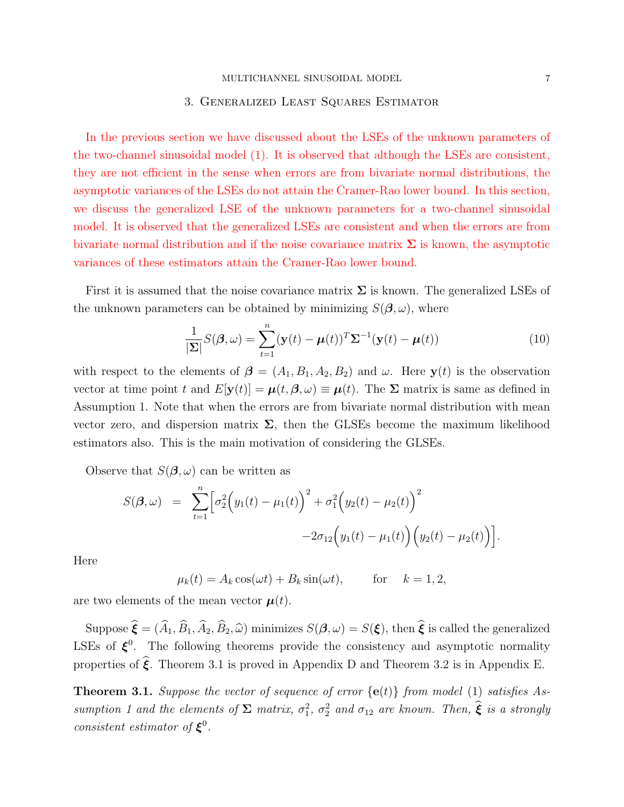#### 3. Generalized Least Squares Estimator

In the previous section we have discussed about the LSEs of the unknown parameters of the two-channel sinusoidal model (1). It is observed that although the LSEs are consistent, they are not efficient in the sense when errors are from bivariate normal distributions, the asymptotic variances of the LSEs do not attain the Cramer-Rao lower bound. In this section, we discuss the generalized LSE of the unknown parameters for a two-channel sinusoidal model. It is observed that the generalized LSEs are consistent and when the errors are from bivariate normal distribution and if the noise covariance matrix  $\Sigma$  is known, the asymptotic variances of these estimators attain the Cramer-Rao lower bound.

First it is assumed that the noise covariance matrix  $\Sigma$  is known. The generalized LSEs of the unknown parameters can be obtained by minimizing  $S(\beta,\omega)$ , where

$$
\frac{1}{|\Sigma|}S(\boldsymbol{\beta},\omega) = \sum_{t=1}^{n} (\mathbf{y}(t) - \boldsymbol{\mu}(t))^T \Sigma^{-1} (\mathbf{y}(t) - \boldsymbol{\mu}(t))
$$
(10)

with respect to the elements of  $\boldsymbol{\beta} = (A_1, B_1, A_2, B_2)$  and  $\omega$ . Here  $\mathbf{y}(t)$  is the observation vector at time point t and  $E[\mathbf{y}(t)] = \boldsymbol{\mu}(t, \boldsymbol{\beta}, \omega) \equiv \boldsymbol{\mu}(t)$ . The  $\Sigma$  matrix is same as defined in Assumption 1. Note that when the errors are from bivariate normal distribution with mean vector zero, and dispersion matrix  $\Sigma$ , then the GLSEs become the maximum likelihood estimators also. This is the main motivation of considering the GLSEs.

Observe that  $S(\beta,\omega)$  can be written as

$$
S(\boldsymbol{\beta}, \omega) = \sum_{t=1}^{n} \left[ \sigma_2^2 (y_1(t) - \mu_1(t))^2 + \sigma_1^2 (y_2(t) - \mu_2(t))^2 -2 \sigma_{12} (y_1(t) - \mu_1(t)) (y_2(t) - \mu_2(t)) \right].
$$

Here

 $\mu_k(t) = A_k \cos(\omega t) + B_k \sin(\omega t), \quad \text{for} \quad k = 1, 2,$ 

are two elements of the mean vector  $\mu(t)$ .

Suppose  $\hat{\boldsymbol{\xi}} = (\hat{A}_1, \hat{B}_1, \hat{A}_2, \hat{B}_2, \hat{\omega})$  minimizes  $S(\boldsymbol{\beta}, \omega) = S(\boldsymbol{\xi})$ , then  $\hat{\boldsymbol{\xi}}$  is called the generalized LSEs of  $\xi^0$ . The following theorems provide the consistency and asymptotic normality properties of  $\hat{\xi}$ . Theorem 3.1 is proved in Appendix D and Theorem 3.2 is in Appendix E.

**Theorem 3.1.** Suppose the vector of sequence of error  $\{e(t)\}\$  from model (1) satisfies Assumption 1 and the elements of  $\Sigma$  matrix,  $\sigma_1^2$ ,  $\sigma_2^2$  and  $\sigma_{12}$  are known. Then,  $\hat{\xi}$  is a strongly consistent estimator of  $\xi^0$ .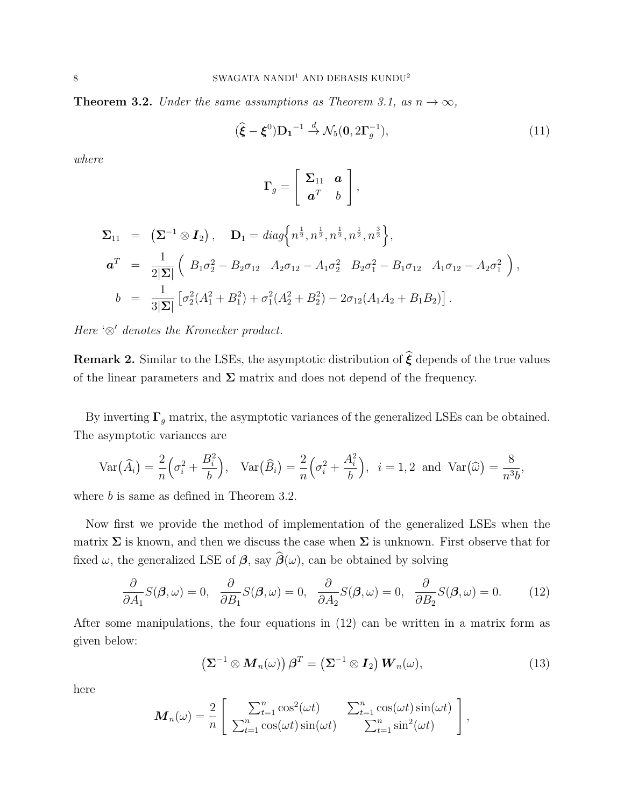**Theorem 3.2.** Under the same assumptions as Theorem 3.1, as  $n \to \infty$ ,

$$
(\widehat{\boldsymbol{\xi}} - \boldsymbol{\xi}^0) \mathbf{D_1}^{-1} \stackrel{d}{\to} \mathcal{N}_5(\mathbf{0}, 2\boldsymbol{\Gamma}_g^{-1}),
$$
\n(11)

where

$$
\mathbf{\Gamma}_g = \left[ \begin{array}{cc} \mathbf{\Sigma}_{11} & \mathbf{a} \\ \mathbf{a}^T & b \end{array} \right],
$$

$$
\Sigma_{11} = (\Sigma^{-1} \otimes I_2), \quad \mathbf{D}_1 = diag\Big\{n^{\frac{1}{2}}, n^{\frac{1}{2}}, n^{\frac{1}{2}}, n^{\frac{3}{2}}, n^{\frac{3}{2}}\Big\},\newline \mathbf{a}^T = \frac{1}{2|\Sigma|} \Big( B_1 \sigma_2^2 - B_2 \sigma_{12} \quad A_2 \sigma_{12} - A_1 \sigma_2^2 \quad B_2 \sigma_1^2 - B_1 \sigma_{12} \quad A_1 \sigma_{12} - A_2 \sigma_1^2 \Big),\newline \mathbf{b} = \frac{1}{3|\Sigma|} \Big[ \sigma_2^2 (A_1^2 + B_1^2) + \sigma_1^2 (A_2^2 + B_2^2) - 2 \sigma_{12} (A_1 A_2 + B_1 B_2) \Big].
$$

Here ' $\otimes'$  denotes the Kronecker product.

**Remark 2.** Similar to the LSEs, the asymptotic distribution of  $\hat{\boldsymbol{\xi}}$  depends of the true values of the linear parameters and  $\Sigma$  matrix and does not depend of the frequency.

By inverting  $\Gamma_g$  matrix, the asymptotic variances of the generalized LSEs can be obtained. The asymptotic variances are

$$
\operatorname{Var}(\widehat{A}_i) = \frac{2}{n} \left( \sigma_i^2 + \frac{B_i^2}{b} \right), \quad \operatorname{Var}(\widehat{B}_i) = \frac{2}{n} \left( \sigma_i^2 + \frac{A_i^2}{b} \right), \quad i = 1, 2 \text{ and } \operatorname{Var}(\widehat{\omega}) = \frac{8}{n^3 b},
$$

where *b* is same as defined in Theorem 3.2.

Now first we provide the method of implementation of the generalized LSEs when the matrix  $\Sigma$  is known, and then we discuss the case when  $\Sigma$  is unknown. First observe that for fixed  $\omega$ , the generalized LSE of  $\beta$ , say  $\widehat{\beta}(\omega)$ , can be obtained by solving

$$
\frac{\partial}{\partial A_1} S(\boldsymbol{\beta}, \omega) = 0, \quad \frac{\partial}{\partial B_1} S(\boldsymbol{\beta}, \omega) = 0, \quad \frac{\partial}{\partial A_2} S(\boldsymbol{\beta}, \omega) = 0, \quad \frac{\partial}{\partial B_2} S(\boldsymbol{\beta}, \omega) = 0. \tag{12}
$$

After some manipulations, the four equations in (12) can be written in a matrix form as given below:

$$
\left(\Sigma^{-1}\otimes M_n(\omega)\right)\beta^T=\left(\Sigma^{-1}\otimes I_2\right)W_n(\omega),\tag{13}
$$

here

$$
\boldsymbol{M}_n(\omega) = \frac{2}{n} \left[ \begin{array}{cc} \sum_{t=1}^n \cos^2(\omega t) & \sum_{t=1}^n \cos(\omega t) \sin(\omega t) \\ \sum_{t=1}^n \cos(\omega t) \sin(\omega t) & \sum_{t=1}^n \sin^2(\omega t) \end{array} \right],
$$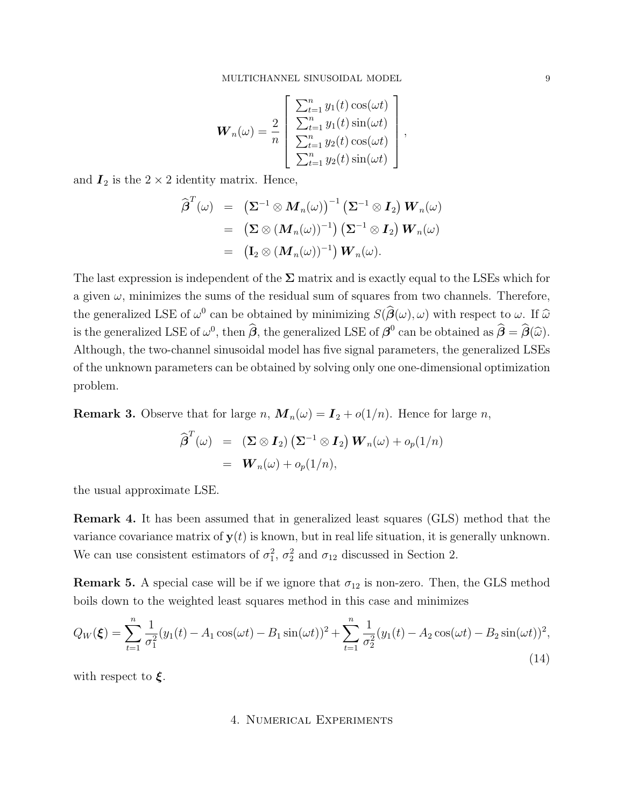$$
\boldsymbol{W}_n(\omega) = \frac{2}{n} \begin{bmatrix} \sum_{t=1}^n y_1(t) \cos(\omega t) \\ \sum_{t=1}^n y_1(t) \sin(\omega t) \\ \sum_{t=1}^n y_2(t) \cos(\omega t) \\ \sum_{t=1}^n y_2(t) \sin(\omega t) \end{bmatrix},
$$

and  $\mathbf{I}_2$  is the  $2 \times 2$  identity matrix. Hence,

$$
\begin{array}{lcl} \widehat{\boldsymbol{\beta}}^T(\omega) & = & \left( \boldsymbol{\Sigma}^{-1} \otimes \boldsymbol{M}_n(\omega) \right)^{-1} \left( \boldsymbol{\Sigma}^{-1} \otimes \boldsymbol{I}_2 \right) \boldsymbol{W}_n(\omega) \\ \\ & = & \left( \boldsymbol{\Sigma} \otimes (\boldsymbol{M}_n(\omega))^{-1} \right) \left( \boldsymbol{\Sigma}^{-1} \otimes \boldsymbol{I}_2 \right) \boldsymbol{W}_n(\omega) \\ \\ & = & \left( \mathbf{I}_2 \otimes (\boldsymbol{M}_n(\omega))^{-1} \right) \boldsymbol{W}_n(\omega). \end{array}
$$

The last expression is independent of the  $\Sigma$  matrix and is exactly equal to the LSEs which for a given  $\omega$ , minimizes the sums of the residual sum of squares from two channels. Therefore, the generalized LSE of  $\omega^0$  can be obtained by minimizing  $S(\hat{\boldsymbol{\beta}}(\omega), \omega)$  with respect to  $\omega$ . If  $\hat{\omega}$ is the generalized LSE of  $\omega^0$ , then  $\hat{\beta}$ , the generalized LSE of  $\beta^0$  can be obtained as  $\hat{\beta} = \hat{\beta}(\hat{\omega})$ . Although, the two-channel sinusoidal model has five signal parameters, the generalized LSEs of the unknown parameters can be obtained by solving only one one-dimensional optimization problem.

**Remark 3.** Observe that for large n,  $\mathbf{M}_n(\omega) = \mathbf{I}_2 + o(1/n)$ . Hence for large n,

$$
\widehat{\boldsymbol{\beta}}^T(\omega) = (\boldsymbol{\Sigma} \otimes \boldsymbol{I}_2) (\boldsymbol{\Sigma}^{-1} \otimes \boldsymbol{I}_2) \boldsymbol{W}_n(\omega) + o_p(1/n) \n= \boldsymbol{W}_n(\omega) + o_p(1/n),
$$

the usual approximate LSE.

Remark 4. It has been assumed that in generalized least squares (GLS) method that the variance covariance matrix of  $y(t)$  is known, but in real life situation, it is generally unknown. We can use consistent estimators of  $\sigma_1^2$ ,  $\sigma_2^2$  and  $\sigma_{12}$  discussed in Section 2.

**Remark 5.** A special case will be if we ignore that  $\sigma_{12}$  is non-zero. Then, the GLS method boils down to the weighted least squares method in this case and minimizes

$$
Q_W(\boldsymbol{\xi}) = \sum_{t=1}^n \frac{1}{\sigma_1^2} (y_1(t) - A_1 \cos(\omega t) - B_1 \sin(\omega t))^2 + \sum_{t=1}^n \frac{1}{\sigma_2^2} (y_1(t) - A_2 \cos(\omega t) - B_2 \sin(\omega t))^2,
$$
\n(14)

with respect to  $\xi$ .

### 4. Numerical Experiments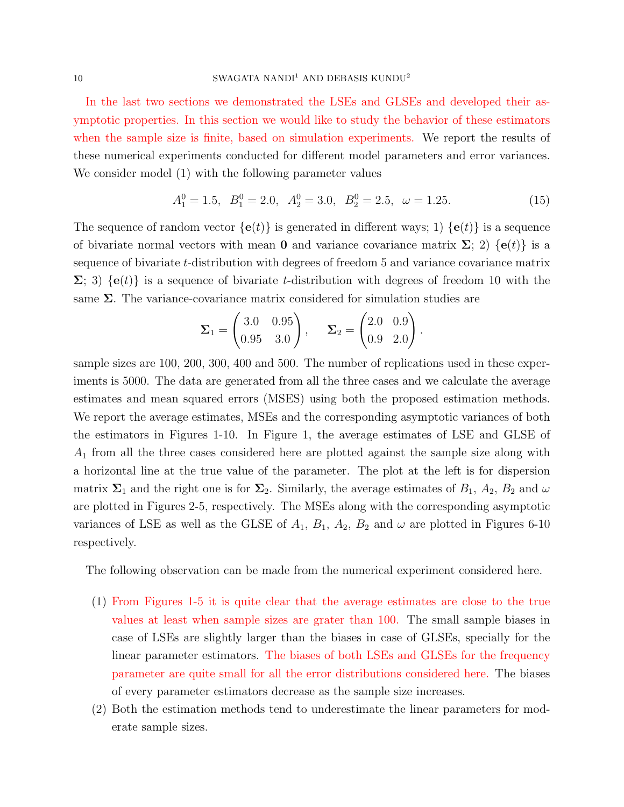In the last two sections we demonstrated the LSEs and GLSEs and developed their asymptotic properties. In this section we would like to study the behavior of these estimators when the sample size is finite, based on simulation experiments. We report the results of these numerical experiments conducted for different model parameters and error variances. We consider model (1) with the following parameter values

$$
A_1^0 = 1.5, B_1^0 = 2.0, A_2^0 = 3.0, B_2^0 = 2.5, \omega = 1.25.
$$
 (15)

.

The sequence of random vector  $\{e(t)\}\$ is generated in different ways; 1)  $\{e(t)\}\$ is a sequence of bivariate normal vectors with mean **0** and variance covariance matrix  $\Sigma$ ; 2) {**e**(*t*)} is a sequence of bivariate t-distribution with degrees of freedom 5 and variance covariance matrix  $\Sigma$ ; 3)  $\{e(t)\}\$ is a sequence of bivariate t-distribution with degrees of freedom 10 with the same  $\Sigma$ . The variance-covariance matrix considered for simulation studies are

$$
\Sigma_1 = \begin{pmatrix} 3.0 & 0.95 \\ 0.95 & 3.0 \end{pmatrix}, \quad \Sigma_2 = \begin{pmatrix} 2.0 & 0.9 \\ 0.9 & 2.0 \end{pmatrix}
$$

sample sizes are 100, 200, 300, 400 and 500. The number of replications used in these experiments is 5000. The data are generated from all the three cases and we calculate the average estimates and mean squared errors (MSES) using both the proposed estimation methods. We report the average estimates, MSEs and the corresponding asymptotic variances of both the estimators in Figures 1-10. In Figure 1, the average estimates of LSE and GLSE of  $A_1$  from all the three cases considered here are plotted against the sample size along with a horizontal line at the true value of the parameter. The plot at the left is for dispersion matrix  $\Sigma_1$  and the right one is for  $\Sigma_2$ . Similarly, the average estimates of  $B_1$ ,  $A_2$ ,  $B_2$  and  $\omega$ are plotted in Figures 2-5, respectively. The MSEs along with the corresponding asymptotic variances of LSE as well as the GLSE of  $A_1$ ,  $B_1$ ,  $A_2$ ,  $B_2$  and  $\omega$  are plotted in Figures 6-10 respectively.

The following observation can be made from the numerical experiment considered here.

- (1) From Figures 1-5 it is quite clear that the average estimates are close to the true values at least when sample sizes are grater than 100. The small sample biases in case of LSEs are slightly larger than the biases in case of GLSEs, specially for the linear parameter estimators. The biases of both LSEs and GLSEs for the frequency parameter are quite small for all the error distributions considered here. The biases of every parameter estimators decrease as the sample size increases.
- (2) Both the estimation methods tend to underestimate the linear parameters for moderate sample sizes.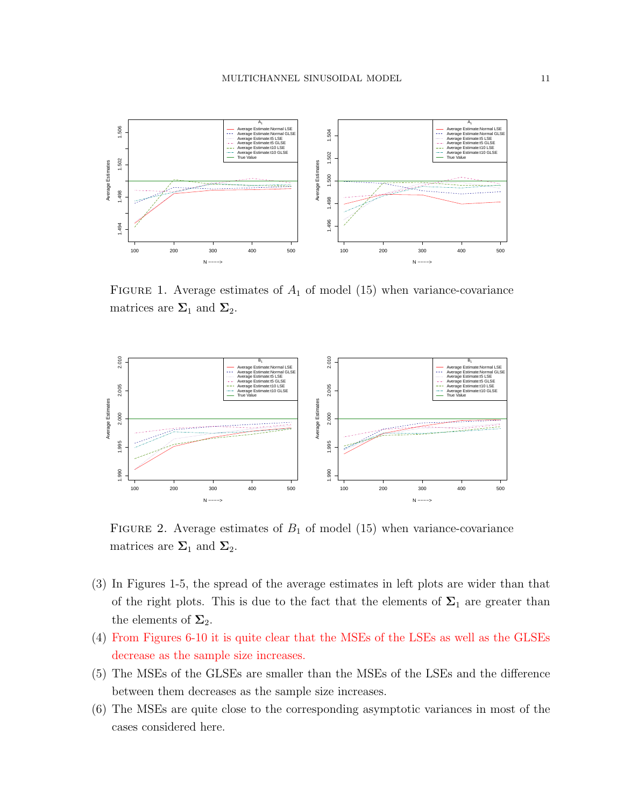

FIGURE 1. Average estimates of  $A_1$  of model (15) when variance-covariance matrices are  $\Sigma_1$  and  $\Sigma_2$ .



FIGURE 2. Average estimates of  $B_1$  of model (15) when variance-covariance matrices are  $\Sigma_1$  and  $\Sigma_2$ .

- (3) In Figures 1-5, the spread of the average estimates in left plots are wider than that of the right plots. This is due to the fact that the elements of  $\Sigma_1$  are greater than the elements of  $\Sigma_2$ .
- (4) From Figures 6-10 it is quite clear that the MSEs of the LSEs as well as the GLSEs decrease as the sample size increases.
- (5) The MSEs of the GLSEs are smaller than the MSEs of the LSEs and the difference between them decreases as the sample size increases.
- (6) The MSEs are quite close to the corresponding asymptotic variances in most of the cases considered here.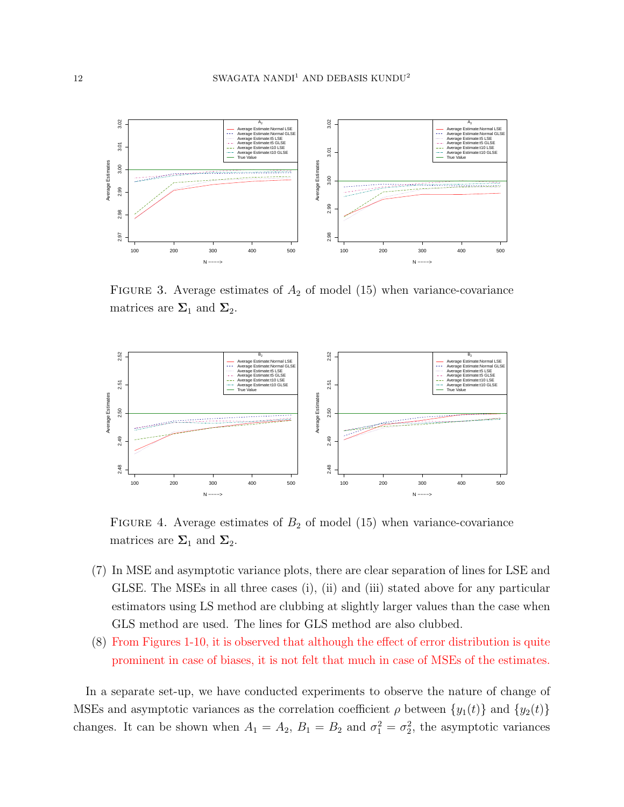

FIGURE 3. Average estimates of  $A_2$  of model (15) when variance-covariance matrices are  $\Sigma_1$  and  $\Sigma_2$ .



FIGURE 4. Average estimates of  $B_2$  of model (15) when variance-covariance matrices are  $\Sigma_1$  and  $\Sigma_2$ .

- (7) In MSE and asymptotic variance plots, there are clear separation of lines for LSE and GLSE. The MSEs in all three cases (i), (ii) and (iii) stated above for any particular estimators using LS method are clubbing at slightly larger values than the case when GLS method are used. The lines for GLS method are also clubbed.
- (8) From Figures 1-10, it is observed that although the effect of error distribution is quite prominent in case of biases, it is not felt that much in case of MSEs of the estimates.

In a separate set-up, we have conducted experiments to observe the nature of change of MSEs and asymptotic variances as the correlation coefficient  $\rho$  between  $\{y_1(t)\}\$  and  $\{y_2(t)\}\$ changes. It can be shown when  $A_1 = A_2$ ,  $B_1 = B_2$  and  $\sigma_1^2 = \sigma_2^2$ , the asymptotic variances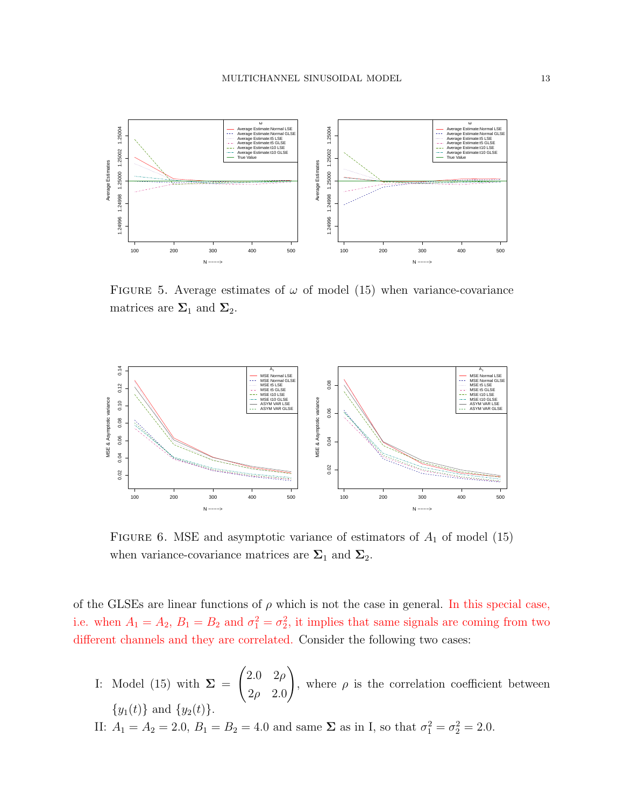

FIGURE 5. Average estimates of  $\omega$  of model (15) when variance-covariance matrices are  $\Sigma_1$  and  $\Sigma_2$ .



FIGURE 6. MSE and asymptotic variance of estimators of  $A_1$  of model (15) when variance-covariance matrices are  $\Sigma_1$  and  $\Sigma_2$ .

of the GLSEs are linear functions of  $\rho$  which is not the case in general. In this special case, i.e. when  $A_1 = A_2$ ,  $B_1 = B_2$  and  $\sigma_1^2 = \sigma_2^2$ , it implies that same signals are coming from two different channels and they are correlated. Consider the following two cases:

I: Model (15) with  $\Sigma =$  $\int 2.0 \, 2\rho$  $2\rho$  2.0  $\setminus$ , where  $\rho$  is the correlation coefficient between  ${y_1(t)}$  and  ${y_2(t)}$ .

II:  $A_1 = A_2 = 2.0, B_1 = B_2 = 4.0$  and same  $\Sigma$  as in I, so that  $\sigma_1^2 = \sigma_2^2 = 2.0$ .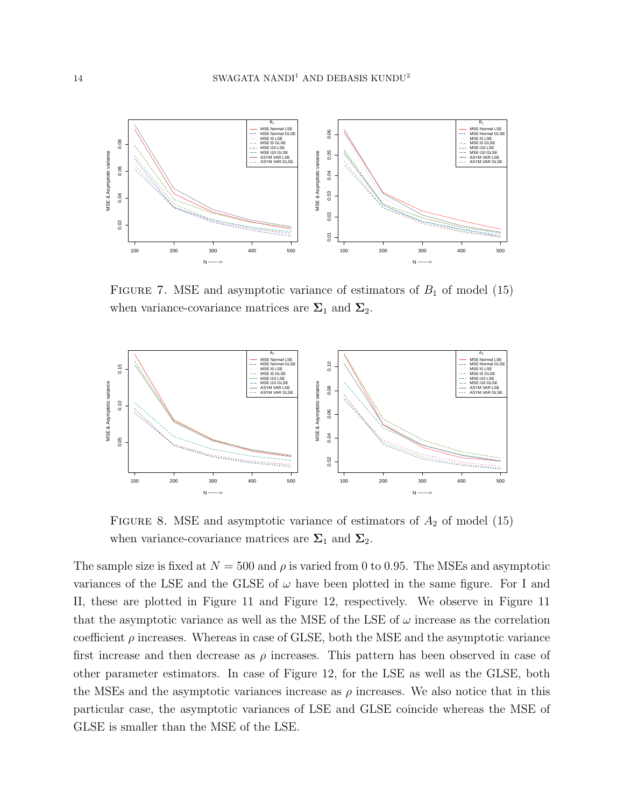

FIGURE 7. MSE and asymptotic variance of estimators of  $B_1$  of model (15) when variance-covariance matrices are  $\Sigma_1$  and  $\Sigma_2$ .



FIGURE 8. MSE and asymptotic variance of estimators of  $A_2$  of model (15) when variance-covariance matrices are  $\Sigma_1$  and  $\Sigma_2$ .

The sample size is fixed at  $N = 500$  and  $\rho$  is varied from 0 to 0.95. The MSEs and asymptotic variances of the LSE and the GLSE of  $\omega$  have been plotted in the same figure. For I and II, these are plotted in Figure 11 and Figure 12, respectively. We observe in Figure 11 that the asymptotic variance as well as the MSE of the LSE of  $\omega$  increase as the correlation coefficient  $\rho$  increases. Whereas in case of GLSE, both the MSE and the asymptotic variance first increase and then decrease as  $\rho$  increases. This pattern has been observed in case of other parameter estimators. In case of Figure 12, for the LSE as well as the GLSE, both the MSEs and the asymptotic variances increase as  $\rho$  increases. We also notice that in this particular case, the asymptotic variances of LSE and GLSE coincide whereas the MSE of GLSE is smaller than the MSE of the LSE.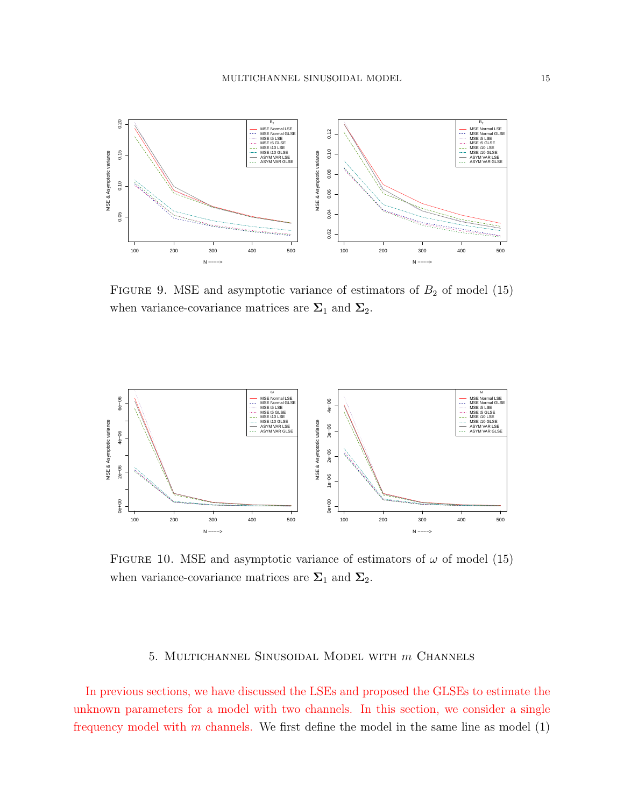

FIGURE 9. MSE and asymptotic variance of estimators of  $B_2$  of model (15) when variance-covariance matrices are  $\Sigma_1$  and  $\Sigma_2$ .



FIGURE 10. MSE and asymptotic variance of estimators of  $\omega$  of model (15) when variance-covariance matrices are  $\Sigma_1$  and  $\Sigma_2$ .

#### 5. Multichannel Sinusoidal Model with m Channels

In previous sections, we have discussed the LSEs and proposed the GLSEs to estimate the unknown parameters for a model with two channels. In this section, we consider a single frequency model with m channels. We first define the model in the same line as model  $(1)$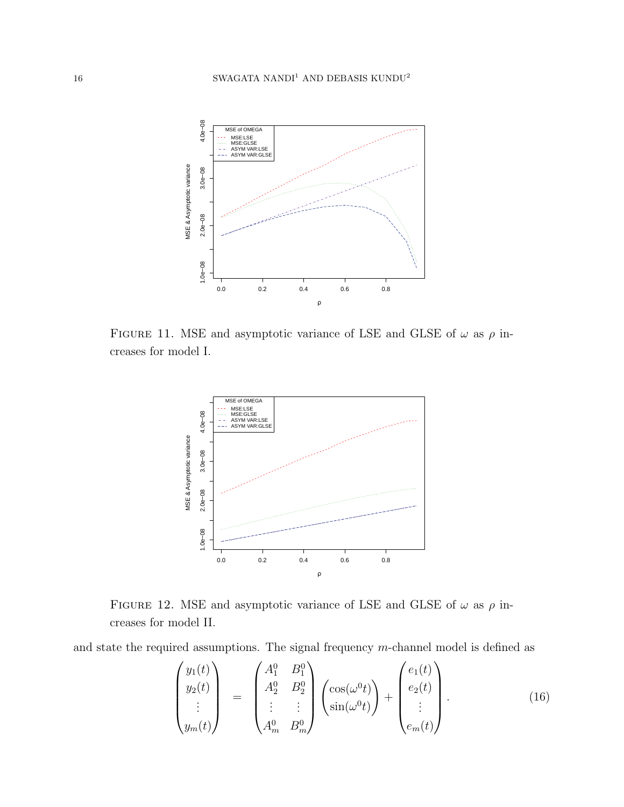

FIGURE 11. MSE and asymptotic variance of LSE and GLSE of  $\omega$  as  $\rho$  increases for model I.



FIGURE 12. MSE and asymptotic variance of LSE and GLSE of  $\omega$  as  $\rho$  increases for model II.

and state the required assumptions. The signal frequency m-channel model is defined as

$$
\begin{pmatrix} y_1(t) \\ y_2(t) \\ \vdots \\ y_m(t) \end{pmatrix} = \begin{pmatrix} A_1^0 & B_1^0 \\ A_2^0 & B_2^0 \\ \vdots & \vdots \\ A_m^0 & B_m^0 \end{pmatrix} \begin{pmatrix} \cos(\omega^0 t) \\ \sin(\omega^0 t) \end{pmatrix} + \begin{pmatrix} e_1(t) \\ e_2(t) \\ \vdots \\ e_m(t) \end{pmatrix} . \tag{16}
$$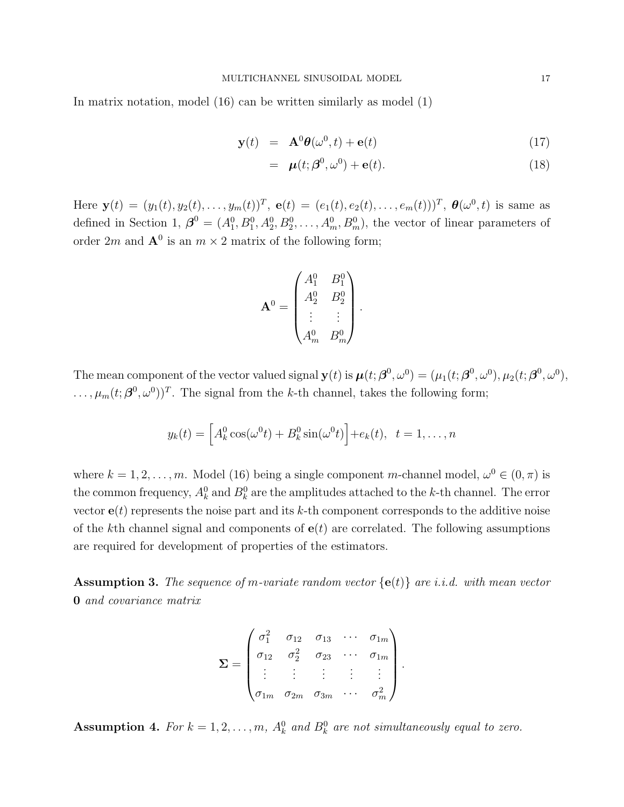In matrix notation, model (16) can be written similarly as model (1)

$$
\mathbf{y}(t) = \mathbf{A}^0 \boldsymbol{\theta}(\omega^0, t) + \mathbf{e}(t) \tag{17}
$$

$$
= \boldsymbol{\mu}(t; \boldsymbol{\beta}^0, \omega^0) + \mathbf{e}(t). \tag{18}
$$

Here  $\mathbf{y}(t) = (y_1(t), y_2(t), \dots, y_m(t))^T$ ,  $\mathbf{e}(t) = (e_1(t), e_2(t), \dots, e_m(t))^T$ ,  $\boldsymbol{\theta}(\omega^0, t)$  is same as defined in Section 1,  $\boldsymbol{\beta}^0 = (A_1^0, B_1^0, A_2^0, B_2^0, \dots, A_m^0, B_m^0)$ , the vector of linear parameters of order 2m and  $A^0$  is an  $m \times 2$  matrix of the following form;

$$
\mathbf{A}^0 = \begin{pmatrix} A_1^0 & B_1^0 \\ A_2^0 & B_2^0 \\ \vdots & \vdots \\ A_m^0 & B_m^0 \end{pmatrix}.
$$

The mean component of the vector valued signal  $\mathbf{y}(t)$  is  $\boldsymbol{\mu}(t; \boldsymbol{\beta}^0, \omega^0) = (\mu_1(t; \boldsymbol{\beta}^0, \omega^0), \mu_2(t; \boldsymbol{\beta}^0, \omega^0),$  $\ldots, \mu_m(t; \beta^0, \omega^0))^T$ . The signal from the k-th channel, takes the following form;

$$
y_k(t) = \left[A_k^0 \cos(\omega^0 t) + B_k^0 \sin(\omega^0 t)\right] + e_k(t), \quad t = 1, \dots, n
$$

where  $k = 1, 2, ..., m$ . Model (16) being a single component m-channel model,  $\omega^0 \in (0, \pi)$  is the common frequency,  $A_k^0$  and  $B_k^0$  are the amplitudes attached to the k-th channel. The error vector  $e(t)$  represents the noise part and its k-th component corresponds to the additive noise of the kth channel signal and components of  $e(t)$  are correlated. The following assumptions are required for development of properties of the estimators.

**Assumption 3.** The sequence of m-variate random vector  $\{e(t)\}\$ are i.i.d. with mean vector 0 and covariance matrix

$$
\Sigma = \begin{pmatrix}\n\sigma_1^2 & \sigma_{12} & \sigma_{13} & \cdots & \sigma_{1m} \\
\sigma_{12} & \sigma_2^2 & \sigma_{23} & \cdots & \sigma_{1m} \\
\vdots & \vdots & \vdots & \vdots & \vdots \\
\sigma_{1m} & \sigma_{2m} & \sigma_{3m} & \cdots & \sigma_m^2\n\end{pmatrix}
$$

.

**Assumption 4.** For  $k = 1, 2, ..., m$ ,  $A_k^0$  and  $B_k^0$  are not simultaneously equal to zero.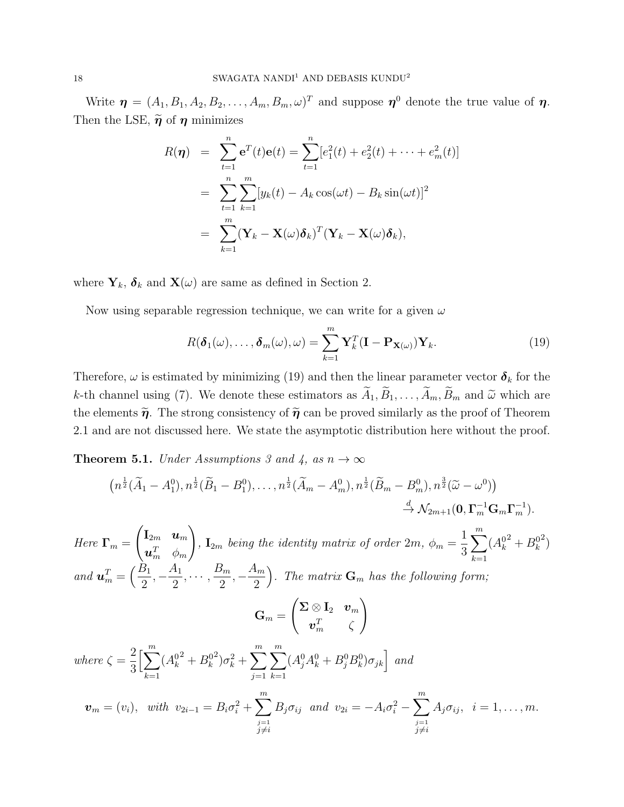Write  $\boldsymbol{\eta} = (A_1, B_1, A_2, B_2, \dots, A_m, B_m, \omega)^T$  and suppose  $\boldsymbol{\eta}^0$  denote the true value of  $\boldsymbol{\eta}$ . Then the LSE,  $\tilde{\eta}$  of  $\eta$  minimizes

$$
R(\boldsymbol{\eta}) = \sum_{t=1}^{n} e^{T}(t)e(t) = \sum_{t=1}^{n} [e_{1}^{2}(t) + e_{2}^{2}(t) + \dots + e_{m}^{2}(t)]
$$
  
= 
$$
\sum_{t=1}^{n} \sum_{k=1}^{m} [y_{k}(t) - A_{k}\cos(\omega t) - B_{k}\sin(\omega t)]^{2}
$$
  
= 
$$
\sum_{k=1}^{m} (\mathbf{Y}_{k} - \mathbf{X}(\omega)\boldsymbol{\delta}_{k})^{T} (\mathbf{Y}_{k} - \mathbf{X}(\omega)\boldsymbol{\delta}_{k}),
$$

where  $Y_k$ ,  $\delta_k$  and  $X(\omega)$  are same as defined in Section 2.

Now using separable regression technique, we can write for a given  $\omega$ 

$$
R(\boldsymbol{\delta}_1(\omega),\ldots,\boldsymbol{\delta}_m(\omega),\omega) = \sum_{k=1}^m \mathbf{Y}_k^T (\mathbf{I} - \mathbf{P}_{\mathbf{X}(\omega)}) \mathbf{Y}_k.
$$
 (19)

Therefore,  $\omega$  is estimated by minimizing (19) and then the linear parameter vector  $\delta_k$  for the k-th channel using (7). We denote these estimators as  $\widetilde{A}_1, \widetilde{B}_1, \ldots, \widetilde{A}_m, \widetilde{B}_m$  and  $\widetilde{\omega}$  which are the elements  $\tilde{\eta}$ . The strong consistency of  $\tilde{\eta}$  can be proved similarly as the proof of Theorem 2.1 and are not discussed here. We state the asymptotic distribution here without the proof.

**Theorem 5.1.** Under Assumptions 3 and 4, as  $n \to \infty$ 

$$
(n^{\frac{1}{2}}(\tilde{A}_{1} - A_{1}^{0}), n^{\frac{1}{2}}(\tilde{B}_{1} - B_{1}^{0}), \ldots, n^{\frac{1}{2}}(\tilde{A}_{m} - A_{m}^{0}), n^{\frac{1}{2}}(\tilde{B}_{m} - B_{m}^{0}), n^{\frac{3}{2}}(\tilde{\omega} - \omega^{0}))
$$
\n
$$
\stackrel{d}{\rightarrow} \mathcal{N}_{2m+1}(\mathbf{0}, \mathbf{\Gamma}_{m}^{-1} \mathbf{G}_{m} \mathbf{\Gamma}_{m}^{-1}).
$$
\nHere  $\mathbf{\Gamma}_{m} = \begin{pmatrix} \mathbf{I}_{2m} & \mathbf{u}_{m} \\ \mathbf{u}_{m}^{T} & \phi_{m} \end{pmatrix}$ ,  $\mathbf{I}_{2m}$  being the identity matrix of order  $2m$ ,  $\phi_{m} = \frac{1}{3} \sum_{k=1}^{m} (A_{k}^{02} + B_{k}^{02})$   
\nand  $\mathbf{u}_{m}^{T} = \begin{pmatrix} \frac{B_{1}}{2}, -\frac{A_{1}}{2}, \ldots, \frac{B_{m}}{2}, -\frac{A_{m}}{2} \end{pmatrix}$ . The matrix  $\mathbf{G}_{m}$  has the following form:  
\n
$$
\mathbf{G}_{m} = \begin{pmatrix} \mathbf{\Sigma} \otimes \mathbf{I}_{2} & \mathbf{v}_{m} \\ \mathbf{v}_{m}^{T} & \zeta \end{pmatrix}
$$
\nwhere  $\zeta = \frac{2}{3} \Big[ \sum_{k=1}^{m} (A_{k}^{02} + B_{k}^{02}) \sigma_{k}^{2} + \sum_{j=1}^{m} \sum_{k=1}^{m} (A_{j}^{0} A_{k}^{0} + B_{j}^{0} B_{k}^{0}) \sigma_{jk} \Big]$  and  
\n
$$
\mathbf{v}_{m} = (v_{i}), \text{ with } v_{2i-1} = B_{i} \sigma_{i}^{2} + \sum_{\substack{j=1 \ j \neq i}}^{m} B_{j} \sigma_{ij} \text{ and } v_{2i} = -A_{i} \sigma_{i}^{2} - \sum_{\substack{j=1 \ j \neq i}}^{m} A_{j} \sigma_{ij}, \text{ } i = 1, \ldots, m.
$$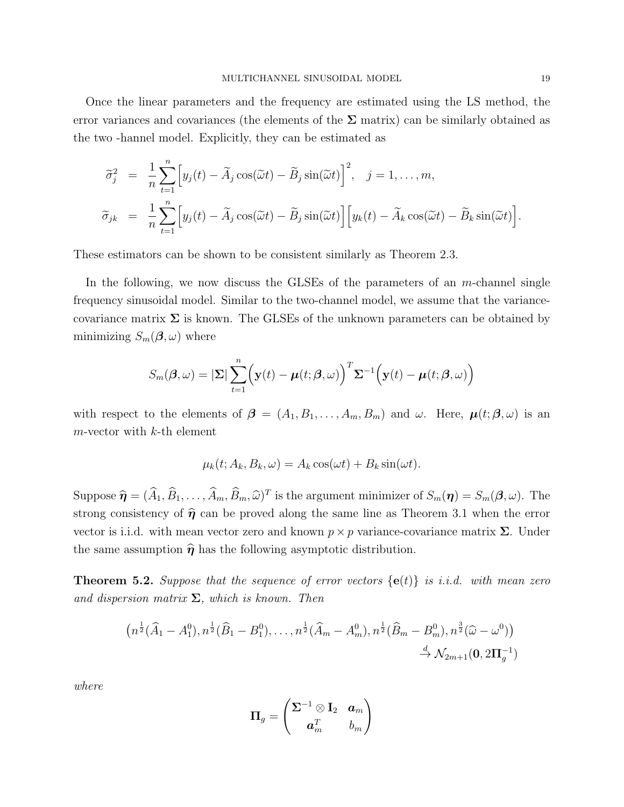Once the linear parameters and the frequency are estimated using the LS method, the error variances and covariances (the elements of the  $\Sigma$  matrix) can be similarly obtained as the two -hannel model. Explicitly, they can be estimated as

$$
\widetilde{\sigma}_j^2 = \frac{1}{n} \sum_{t=1}^n \Big[ y_j(t) - \widetilde{A}_j \cos(\widetilde{\omega} t) - \widetilde{B}_j \sin(\widetilde{\omega} t) \Big]^2, \quad j = 1, \dots, m,
$$
  

$$
\widetilde{\sigma}_{jk} = \frac{1}{n} \sum_{t=1}^n \Big[ y_j(t) - \widetilde{A}_j \cos(\widetilde{\omega} t) - \widetilde{B}_j \sin(\widetilde{\omega} t) \Big] \Big[ y_k(t) - \widetilde{A}_k \cos(\widetilde{\omega} t) - \widetilde{B}_k \sin(\widetilde{\omega} t) \Big].
$$

These estimators can be shown to be consistent similarly as Theorem 2.3.

In the following, we now discuss the GLSEs of the parameters of an m-channel single frequency sinusoidal model. Similar to the two-channel model, we assume that the variancecovariance matrix  $\Sigma$  is known. The GLSEs of the unknown parameters can be obtained by minimizing  $S_m(\boldsymbol{\beta}, \omega)$  where

$$
S_m(\boldsymbol{\beta}, \omega) = |\boldsymbol{\Sigma}| \sum_{t=1}^n \Big(\mathbf{y}(t) - \boldsymbol{\mu}(t; \boldsymbol{\beta}, \omega)\Big)^T \boldsymbol{\Sigma}^{-1} \Big(\mathbf{y}(t) - \boldsymbol{\mu}(t; \boldsymbol{\beta}, \omega)\Big)
$$

with respect to the elements of  $\boldsymbol{\beta} = (A_1, B_1, \ldots, A_m, B_m)$  and  $\omega$ . Here,  $\boldsymbol{\mu}(t; \boldsymbol{\beta}, \omega)$  is an  $m$ -vector with  $k$ -th element

$$
\mu_k(t; A_k, B_k, \omega) = A_k \cos(\omega t) + B_k \sin(\omega t).
$$

Suppose  $\widehat{\boldsymbol{\eta}} = (\widehat{A}_1, \widehat{B}_1, \dots, \widehat{A}_m, \widehat{B}_m, \widehat{\omega})^T$  is the argument minimizer of  $S_m(\boldsymbol{\eta}) = S_m(\boldsymbol{\beta}, \omega)$ . The strong consistency of  $\hat{\eta}$  can be proved along the same line as Theorem 3.1 when the error vector is i.i.d. with mean vector zero and known  $p \times p$  variance-covariance matrix  $\Sigma$ . Under the same assumption  $\hat{\eta}$  has the following asymptotic distribution.

**Theorem 5.2.** Suppose that the sequence of error vectors  $\{e(t)\}\$ is i.i.d. with mean zero and dispersion matrix  $\Sigma$ , which is known. Then

$$
(n^{\frac{1}{2}}(\widehat{A}_1 - A_1^0), n^{\frac{1}{2}}(\widehat{B}_1 - B_1^0), \dots, n^{\frac{1}{2}}(\widehat{A}_m - A_m^0), n^{\frac{1}{2}}(\widehat{B}_m - B_m^0), n^{\frac{3}{2}}(\widehat{\omega} - \omega^0))
$$
  

$$
\xrightarrow{d} \mathcal{N}_{2m+1}(\mathbf{0}, 2\Pi_g^{-1})
$$

where

$$
\boldsymbol{\Pi}_g=\begin{pmatrix}\boldsymbol{\Sigma}^{-1}\otimes \mathbf{I}_2 & \boldsymbol{a}_m \\ \boldsymbol{a}_m^T & b_m \end{pmatrix}
$$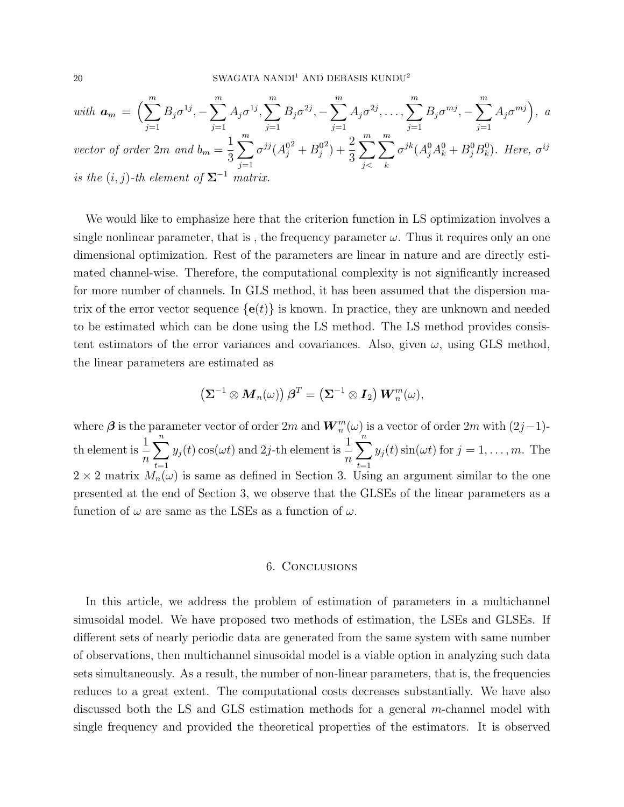with 
$$
\mathbf{a}_m = \left(\sum_{j=1}^m B_j \sigma^{1j}, -\sum_{j=1}^m A_j \sigma^{1j}, \sum_{j=1}^m B_j \sigma^{2j}, -\sum_{j=1}^m A_j \sigma^{2j}, \dots, \sum_{j=1}^m B_j \sigma^{mj}, -\sum_{j=1}^m A_j \sigma^{mj}\right)
$$
, a  
vector of order  $2m$  and  $b_m = \frac{1}{3} \sum_{j=1}^m \sigma^{jj} (A_j^{02} + B_j^{02}) + \frac{2}{3} \sum_{j < k}^m \sum_{k}^m \sigma^{jk} (A_j^0 A_k^0 + B_j^0 B_k^0)$ . Here,  $\sigma^{ij}$   
is the  $(i, j)$ -th element of  $\Sigma^{-1}$  matrix.

We would like to emphasize here that the criterion function in LS optimization involves a single nonlinear parameter, that is, the frequency parameter  $\omega$ . Thus it requires only an one dimensional optimization. Rest of the parameters are linear in nature and are directly estimated channel-wise. Therefore, the computational complexity is not significantly increased for more number of channels. In GLS method, it has been assumed that the dispersion matrix of the error vector sequence  $\{e(t)\}\$ is known. In practice, they are unknown and needed to be estimated which can be done using the LS method. The LS method provides consistent estimators of the error variances and covariances. Also, given  $\omega$ , using GLS method, the linear parameters are estimated as

$$
\left(\mathbf{\Sigma}^{-1}\otimes\boldsymbol{M}_n(\omega)\right)\boldsymbol{\beta}^T=\left(\mathbf{\Sigma}^{-1}\otimes\boldsymbol{I}_2\right)\boldsymbol{W}_n^m(\omega),
$$

where  $\boldsymbol{\beta}$  is the parameter vector of order  $2m$  and  $\boldsymbol{W}_n^m(\omega)$  is a vector of order  $2m$  with  $(2j-1)$ th element is  $\frac{1}{1}$ n  $\sum_{n=1}^{\infty}$  $t=1$  $y_j(t) \cos(\omega t)$  and 2*j*-th element is  $\frac{1}{n}$  $\sum_{n=1}^{\infty}$  $t=1$  $y_j(t) \sin(\omega t)$  for  $j = 1, \ldots, m$ . The  $2 \times 2$  matrix  $M_n(\omega)$  is same as defined in Section 3. Using an argument similar to the one presented at the end of Section 3, we observe that the GLSEs of the linear parameters as a function of  $\omega$  are same as the LSEs as a function of  $\omega$ .

#### 6. Conclusions

In this article, we address the problem of estimation of parameters in a multichannel sinusoidal model. We have proposed two methods of estimation, the LSEs and GLSEs. If different sets of nearly periodic data are generated from the same system with same number of observations, then multichannel sinusoidal model is a viable option in analyzing such data sets simultaneously. As a result, the number of non-linear parameters, that is, the frequencies reduces to a great extent. The computational costs decreases substantially. We have also discussed both the LS and GLS estimation methods for a general m-channel model with single frequency and provided the theoretical properties of the estimators. It is observed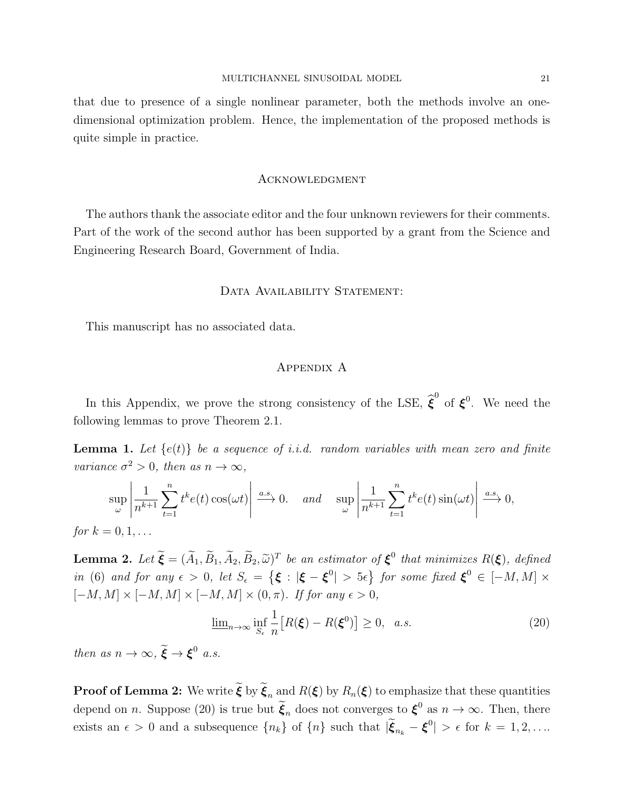that due to presence of a single nonlinear parameter, both the methods involve an onedimensional optimization problem. Hence, the implementation of the proposed methods is quite simple in practice.

#### **ACKNOWLEDGMENT**

The authors thank the associate editor and the four unknown reviewers for their comments. Part of the work of the second author has been supported by a grant from the Science and Engineering Research Board, Government of India.

### DATA AVAILABILITY STATEMENT:

This manuscript has no associated data.

#### Appendix A

In this Appendix, we prove the strong consistency of the LSE,  $\hat{\boldsymbol{\xi}}^0$  of  $\boldsymbol{\xi}^0$ . We need the following lemmas to prove Theorem 2.1.

**Lemma 1.** Let  $\{e(t)\}\$ be a sequence of i.i.d. random variables with mean zero and finite variance  $\sigma^2 > 0$ , then as  $n \to \infty$ ,

$$
\sup_{\omega} \left| \frac{1}{n^{k+1}} \sum_{t=1}^{n} t^k e(t) \cos(\omega t) \right| \xrightarrow{a.s.} 0. \quad \text{and} \quad \sup_{\omega} \left| \frac{1}{n^{k+1}} \sum_{t=1}^{n} t^k e(t) \sin(\omega t) \right| \xrightarrow{a.s.} 0,
$$
  
for  $k = 0, 1, ...$ 

**Lemma 2.** Let  $\tilde{\boldsymbol{\xi}} = (\tilde{A}_1, \tilde{B}_1, \tilde{A}_2, \tilde{B}_2, \tilde{\omega})^T$  be an estimator of  $\boldsymbol{\xi}^0$  that minimizes  $R(\boldsymbol{\xi})$ , defined in (6) and for any  $\epsilon > 0$ , let  $S_{\epsilon} = {\{\xi : |\xi - \xi^0| > 5\epsilon\}}$  for some fixed  $\xi^0 \in [-M, M] \times$  $[-M, M] \times [-M, M] \times [-M, M] \times (0, \pi)$ . If for any  $\epsilon > 0$ ,

$$
\underline{\lim}_{n \to \infty} \inf_{S_{\epsilon}} \frac{1}{n} \big[ R(\boldsymbol{\xi}) - R(\boldsymbol{\xi}^{0}) \big] \ge 0, \quad a.s.
$$
\n(20)

then as  $n \to \infty$ ,  $\widetilde{\boldsymbol{\xi}} \to \boldsymbol{\xi}^0$  a.s.

**Proof of Lemma 2:** We write  $\tilde{\boldsymbol{\xi}}$  by  $\tilde{\boldsymbol{\xi}}_n$  and  $R(\boldsymbol{\xi})$  by  $R_n(\boldsymbol{\xi})$  to emphasize that these quantities depend on *n*. Suppose (20) is true but  $\tilde{\xi}_n$  does not converges to  $\xi^0$  as  $n \to \infty$ . Then, there exists an  $\epsilon > 0$  and a subsequence  $\{n_k\}$  of  $\{n\}$  such that  $|\tilde{\xi}_{n_k} - \xi^0| > \epsilon$  for  $k = 1, 2, \ldots$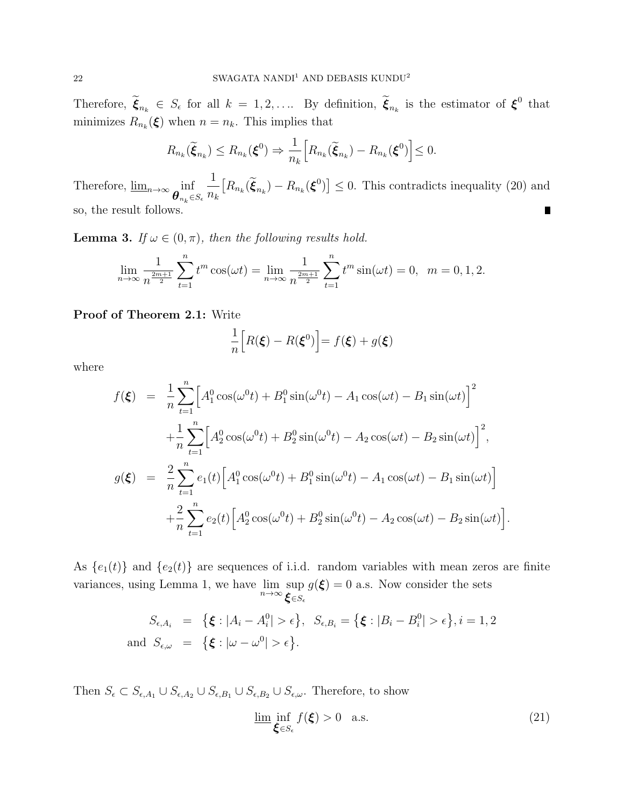Therefore,  $\tilde{\xi}_{n_k} \in S_{\epsilon}$  for all  $k = 1, 2, \ldots$  By definition,  $\tilde{\xi}_{n_k}$  is the estimator of  $\xi^0$  that minimizes  $R_{n_k}(\xi)$  when  $n = n_k$ . This implies that

$$
R_{n_k}(\widetilde{\boldsymbol{\xi}}_{n_k}) \leq R_{n_k}(\boldsymbol{\xi}^0) \Rightarrow \frac{1}{n_k} \Big[ R_{n_k}(\widetilde{\boldsymbol{\xi}}_{n_k}) - R_{n_k}(\boldsymbol{\xi}^0) \Big] \leq 0.
$$

1  $[R_{n_k}(\tilde{\xi}_{n_k}) - R_{n_k}(\xi^0)] \leq 0$ . This contradicts inequality (20) and Therefore,  $\underline{\lim}_{n\to\infty}$  inf  $n_k$  $\bm{\theta}_{n_k}$  $\in$ Se so, the result follows. П

**Lemma 3.** If  $\omega \in (0, \pi)$ , then the following results hold.

$$
\lim_{n \to \infty} \frac{1}{n^{\frac{2m+1}{2}}} \sum_{t=1}^{n} t^m \cos(\omega t) = \lim_{n \to \infty} \frac{1}{n^{\frac{2m+1}{2}}} \sum_{t=1}^{n} t^m \sin(\omega t) = 0, \ \ m = 0, 1, 2.
$$

#### Proof of Theorem 2.1: Write

$$
\frac{1}{n}\Big[R(\boldsymbol{\xi}) - R(\boldsymbol{\xi}^0)\Big] = f(\boldsymbol{\xi}) + g(\boldsymbol{\xi})
$$

where

$$
f(\xi) = \frac{1}{n} \sum_{t=1}^{n} \left[ A_1^0 \cos(\omega^0 t) + B_1^0 \sin(\omega^0 t) - A_1 \cos(\omega t) - B_1 \sin(\omega t) \right]^2
$$
  
+ 
$$
\frac{1}{n} \sum_{t=1}^{n} \left[ A_2^0 \cos(\omega^0 t) + B_2^0 \sin(\omega^0 t) - A_2 \cos(\omega t) - B_2 \sin(\omega t) \right]^2,
$$
  

$$
g(\xi) = \frac{2}{n} \sum_{t=1}^{n} e_1(t) \left[ A_1^0 \cos(\omega^0 t) + B_1^0 \sin(\omega^0 t) - A_1 \cos(\omega t) - B_1 \sin(\omega t) \right]
$$
  
+ 
$$
\frac{2}{n} \sum_{t=1}^{n} e_2(t) \left[ A_2^0 \cos(\omega^0 t) + B_2^0 \sin(\omega^0 t) - A_2 \cos(\omega t) - B_2 \sin(\omega t) \right]
$$

As  ${e_1(t)}$  and  ${e_2(t)}$  are sequences of i.i.d. random variables with mean zeros are finite variances, using Lemma 1, we have  $\lim_{n\to\infty} \sup_{\mathbf{\mathcal{L}}\in\mathcal{L}}$  $\bm{\xi} \in S_{\epsilon}$  $g(\boldsymbol{\xi}) = 0$  a.s. Now consider the sets

$$
S_{\epsilon, A_i} = \{ \xi : |A_i - A_i^0| > \epsilon \}, S_{\epsilon, B_i} = \{ \xi : |B_i - B_i^0| > \epsilon \}, i = 1, 2
$$
  
and  $S_{\epsilon, \omega} = \{ \xi : |\omega - \omega^0| > \epsilon \}.$ 

Then  $S_{\epsilon} \subset S_{\epsilon,A_1} \cup S_{\epsilon,A_2} \cup S_{\epsilon,B_1} \cup S_{\epsilon,B_2} \cup S_{\epsilon,\omega}$ . Therefore, to show

$$
\underline{\lim_{\xi \in S_{\epsilon}}} \inf_{f(\xi) > 0 \quad \text{a.s.} \tag{21}
$$

.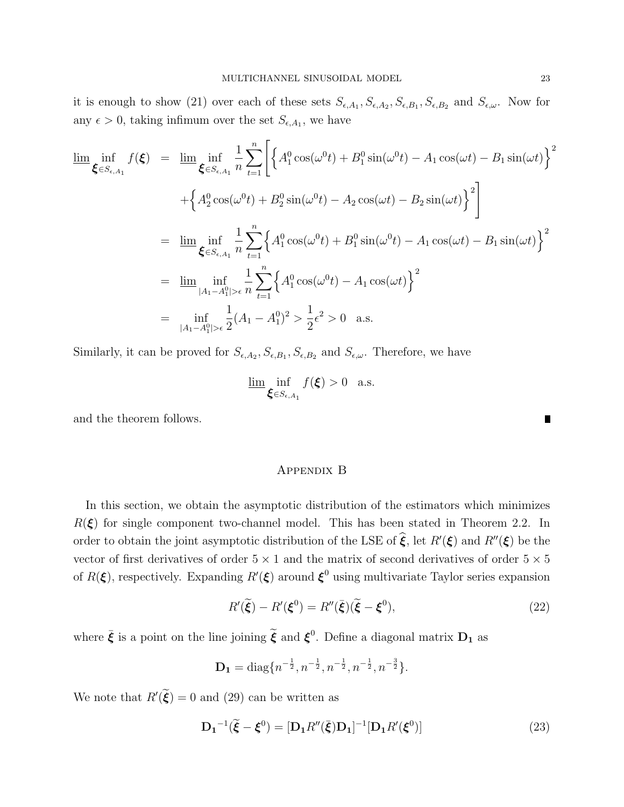it is enough to show (21) over each of these sets  $S_{\epsilon,A_1}, S_{\epsilon,A_2}, S_{\epsilon,B_1}, S_{\epsilon,B_2}$  and  $S_{\epsilon,\omega}$ . Now for any  $\epsilon > 0$ , taking infimum over the set  $S_{\epsilon, A_1}$ , we have

$$
\lim_{\xi \in S_{\epsilon, A_1}} f(\xi) = \lim_{\xi \in S_{\epsilon, A_1}} \frac{1}{n} \sum_{t=1}^n \left[ \left\{ A_1^0 \cos(\omega^0 t) + B_1^0 \sin(\omega^0 t) - A_1 \cos(\omega t) - B_1 \sin(\omega t) \right\}^2 + \left\{ A_2^0 \cos(\omega^0 t) + B_2^0 \sin(\omega^0 t) - A_2 \cos(\omega t) - B_2 \sin(\omega t) \right\}^2 \right]
$$
  
\n
$$
= \lim_{\xi \in S_{\epsilon, A_1}} \inf_{n} \frac{1}{n} \sum_{t=1}^n \left\{ A_1^0 \cos(\omega^0 t) + B_1^0 \sin(\omega^0 t) - A_1 \cos(\omega t) - B_1 \sin(\omega t) \right\}^2
$$
  
\n
$$
= \lim_{|A_1 - A_1^0| > \epsilon} \frac{1}{n} \sum_{t=1}^n \left\{ A_1^0 \cos(\omega^0 t) - A_1 \cos(\omega t) \right\}^2
$$
  
\n
$$
= \lim_{|A_1 - A_1^0| > \epsilon} \frac{1}{n} \sum_{t=1}^n \left\{ A_1^0 \cos(\omega^0 t) - A_1 \cos(\omega t) \right\}^2
$$
  
\n
$$
= \lim_{|A_1 - A_1^0| > \epsilon} \frac{1}{2} (A_1 - A_1^0)^2 > \frac{1}{2} \epsilon^2 > 0 \text{ a.s.}
$$

Similarly, it can be proved for  $S_{\epsilon,A_2}, S_{\epsilon,B_1}, S_{\epsilon,B_2}$  and  $S_{\epsilon,\omega}$ . Therefore, we have

$$
\underline{\lim}_{\xi \in S_{\epsilon, A_1}} f(\xi) > 0 \quad \text{a.s.}
$$

and the theorem follows.

### Appendix B

In this section, we obtain the asymptotic distribution of the estimators which minimizes  $R(\xi)$  for single component two-channel model. This has been stated in Theorem 2.2. In order to obtain the joint asymptotic distribution of the LSE of  $\hat{\xi}$ , let  $R'(\xi)$  and  $R''(\xi)$  be the vector of first derivatives of order  $5 \times 1$  and the matrix of second derivatives of order  $5 \times 5$ of  $R(\boldsymbol{\xi})$ , respectively. Expanding  $R'(\boldsymbol{\xi})$  around  $\boldsymbol{\xi}^0$  using multivariate Taylor series expansion

$$
R'(\tilde{\xi}) - R'(\xi^0) = R''(\bar{\xi})(\tilde{\xi} - \xi^0),\tag{22}
$$

where  $\bar{\xi}$  is a point on the line joining  $\tilde{\xi}$  and  $\xi^0$ . Define a diagonal matrix  $D_1$  as

$$
\mathbf{D_1} = \text{diag}\{n^{-\frac{1}{2}}, n^{-\frac{1}{2}}, n^{-\frac{1}{2}}, n^{-\frac{1}{2}}, n^{-\frac{3}{2}}\}.
$$

We note that  $R'(\dot{\xi}) = 0$  and (29) can be written as

$$
\mathbf{D_1}^{-1}(\tilde{\boldsymbol{\xi}} - \boldsymbol{\xi}^0) = [\mathbf{D_1}R''(\bar{\boldsymbol{\xi}})\mathbf{D_1}]^{-1}[\mathbf{D_1}R'(\boldsymbol{\xi}^0)]
$$
\n(23)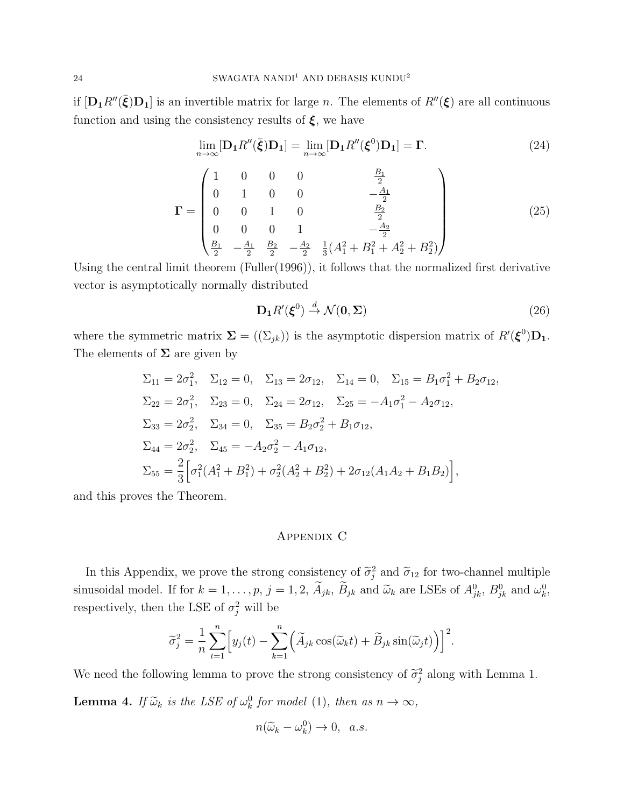if  $[D_1 R''(\bar{\xi})D_1]$  is an invertible matrix for large n. The elements of  $R''(\xi)$  are all continuous function and using the consistency results of  $\xi$ , we have

$$
\lim_{n \to \infty} [\mathbf{D}_1 R''(\bar{\boldsymbol{\xi}}) \mathbf{D}_1] = \lim_{n \to \infty} [\mathbf{D}_1 R''(\boldsymbol{\xi}^0) \mathbf{D}_1] = \Gamma.
$$
 (24)

$$
\mathbf{\Gamma} = \begin{pmatrix} 1 & 0 & 0 & 0 & \frac{B_1}{2} \\ 0 & 1 & 0 & 0 & -\frac{A_1}{2} \\ 0 & 0 & 1 & 0 & \frac{B_2}{2} \\ 0 & 0 & 0 & 1 & -\frac{A_2}{2} \\ \frac{B_1}{2} & -\frac{A_1}{2} & \frac{B_2}{2} & -\frac{A_2}{2} & \frac{1}{3}(A_1^2 + B_1^2 + A_2^2 + B_2^2) \end{pmatrix}
$$
(25)

Using the central limit theorem (Fuller(1996)), it follows that the normalized first derivative vector is asymptotically normally distributed

$$
\mathbf{D}_1 R'(\boldsymbol{\xi}^0) \stackrel{d}{\to} \mathcal{N}(\mathbf{0}, \boldsymbol{\Sigma})
$$
\n(26)

where the symmetric matrix  $\Sigma = ((\Sigma_{jk}))$  is the asymptotic dispersion matrix of  $R'(\xi^0)D_1$ . The elements of  $\Sigma$  are given by

$$
\Sigma_{11} = 2\sigma_1^2, \quad \Sigma_{12} = 0, \quad \Sigma_{13} = 2\sigma_{12}, \quad \Sigma_{14} = 0, \quad \Sigma_{15} = B_1\sigma_1^2 + B_2\sigma_{12},
$$
  
\n
$$
\Sigma_{22} = 2\sigma_1^2, \quad \Sigma_{23} = 0, \quad \Sigma_{24} = 2\sigma_{12}, \quad \Sigma_{25} = -A_1\sigma_1^2 - A_2\sigma_{12},
$$
  
\n
$$
\Sigma_{33} = 2\sigma_2^2, \quad \Sigma_{34} = 0, \quad \Sigma_{35} = B_2\sigma_2^2 + B_1\sigma_{12},
$$
  
\n
$$
\Sigma_{44} = 2\sigma_2^2, \quad \Sigma_{45} = -A_2\sigma_2^2 - A_1\sigma_{12},
$$
  
\n
$$
\Sigma_{55} = \frac{2}{3} \Big[ \sigma_1^2 (A_1^2 + B_1^2) + \sigma_2^2 (A_2^2 + B_2^2) + 2\sigma_{12} (A_1A_2 + B_1B_2) \Big],
$$

and this proves the Theorem.

### Appendix C

In this Appendix, we prove the strong consistency of  $\tilde{\sigma}_j^2$  and  $\tilde{\sigma}_{12}$  for two-channel multiple sinusoidal model. If for  $k = 1, ..., p$ ,  $j = 1, 2, \tilde{A}_{jk}, \tilde{B}_{jk}$  and  $\tilde{\omega}_k$  are LSEs of  $A_{jk}^0$ ,  $B_{jk}^0$  and  $\omega_k^0$ , respectively, then the LSE of  $\sigma_j^2$  will be

$$
\widetilde{\sigma}_j^2 = \frac{1}{n} \sum_{t=1}^n \Big[ y_j(t) - \sum_{k=1}^n \Big( \widetilde{A}_{jk} \cos(\widetilde{\omega}_k t) + \widetilde{B}_{jk} \sin(\widetilde{\omega}_j t) \Big) \Big]^2.
$$

We need the following lemma to prove the strong consistency of  $\tilde{\sigma}_j^2$  along with Lemma 1.

**Lemma 4.** If  $\widetilde{\omega}_k$  is the LSE of  $\omega_k^0$  for model (1), then as  $n \to \infty$ ,

$$
n(\widetilde{\omega}_k - \omega_k^0) \to 0, \ \ a.s.
$$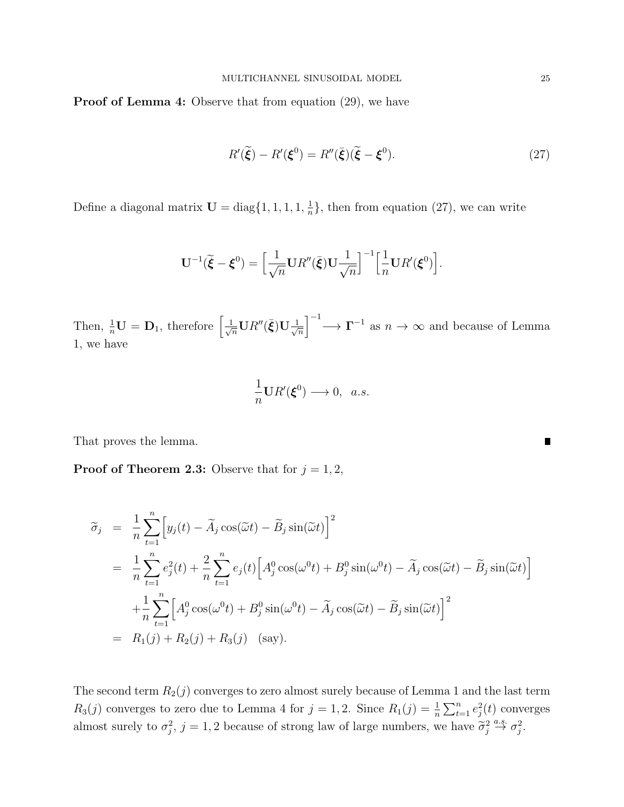Proof of Lemma 4: Observe that from equation (29), we have

$$
R'(\tilde{\xi}) - R'(\xi^0) = R''(\bar{\xi})(\tilde{\xi} - \xi^0). \tag{27}
$$

Define a diagonal matrix  $\mathbf{U} = \text{diag}\{1, 1, 1, 1, \frac{1}{n}\}$  $\frac{1}{n}$ , then from equation (27), we can write

$$
\mathbf{U}^{-1}(\widetilde{\boldsymbol{\xi}}-\boldsymbol{\xi}^0)=\Big[\frac{1}{\sqrt{n}}\mathbf{U} R''(\bar{\boldsymbol{\xi}})\mathbf{U}\frac{1}{\sqrt{n}}\Big]^{-1}\Big[\frac{1}{n}\mathbf{U} R'(\boldsymbol{\xi}^0)\Big].
$$

Then,  $\frac{1}{n}$ **U** = **D**<sub>1</sub>, therefore  $\left[\frac{1}{\sqrt{n}}\mathbf{U}R''(\bar{\boldsymbol{\xi}})\mathbf{U}\frac{1}{\sqrt{n}}\right]$  $\frac{1}{\sqrt{n}}$ <sup>-1</sup>  $\longrightarrow \Gamma^{-1}$  as  $n \to \infty$  and because of Lemma 1, we have

$$
\frac{1}{n}\mathbf{U}R'(\boldsymbol{\xi}^0)\longrightarrow 0,\ \ a.s.
$$

That proves the lemma.

**Proof of Theorem 2.3:** Observe that for  $j = 1, 2$ ,

$$
\widetilde{\sigma}_{j} = \frac{1}{n} \sum_{t=1}^{n} \left[ y_{j}(t) - \widetilde{A}_{j} \cos(\widetilde{\omega}t) - \widetilde{B}_{j} \sin(\widetilde{\omega}t) \right]^{2}
$$
\n
$$
= \frac{1}{n} \sum_{t=1}^{n} e_{j}^{2}(t) + \frac{2}{n} \sum_{t=1}^{n} e_{j}(t) \left[ A_{j}^{0} \cos(\omega^{0}t) + B_{j}^{0} \sin(\omega^{0}t) - \widetilde{A}_{j} \cos(\widetilde{\omega}t) - \widetilde{B}_{j} \sin(\widetilde{\omega}t) \right]
$$
\n
$$
+ \frac{1}{n} \sum_{t=1}^{n} \left[ A_{j}^{0} \cos(\omega^{0}t) + B_{j}^{0} \sin(\omega^{0}t) - \widetilde{A}_{j} \cos(\widetilde{\omega}t) - \widetilde{B}_{j} \sin(\widetilde{\omega}t) \right]^{2}
$$
\n
$$
= R_{1}(j) + R_{2}(j) + R_{3}(j) \quad \text{(say)}.
$$

The second term  $R_2(j)$  converges to zero almost surely because of Lemma 1 and the last term  $R_3(j)$  converges to zero due to Lemma 4 for  $j = 1, 2$ . Since  $R_1(j) = \frac{1}{n} \sum_{t=1}^n e_j^2(t)$  converges almost surely to  $\sigma_j^2$ ,  $j = 1, 2$  because of strong law of large numbers, we have  $\tilde{\sigma}_j^2 \stackrel{a.s.}{\rightarrow} \sigma_j^2$ .

и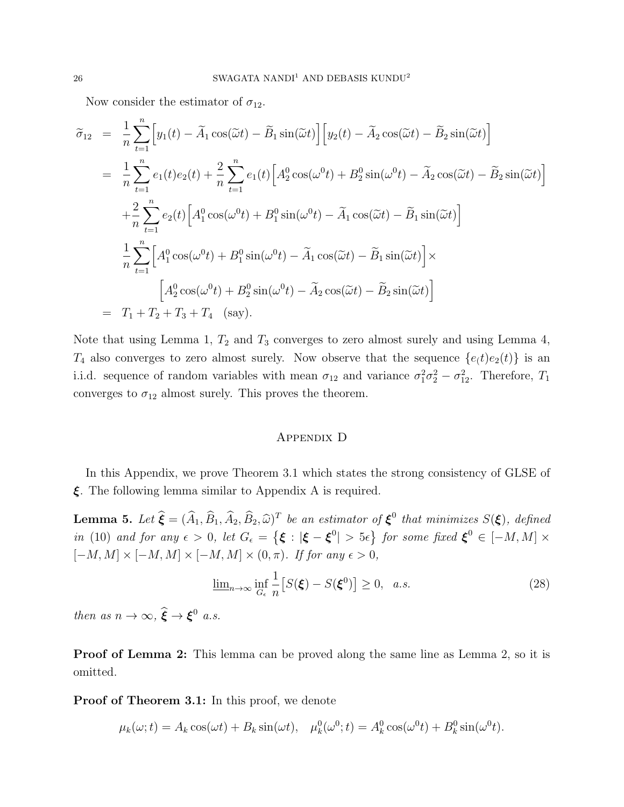Now consider the estimator of  $\sigma_{12}$ .

$$
\tilde{\sigma}_{12} = \frac{1}{n} \sum_{t=1}^{n} \left[ y_1(t) - \tilde{A}_1 \cos(\tilde{\omega}t) - \tilde{B}_1 \sin(\tilde{\omega}t) \right] \left[ y_2(t) - \tilde{A}_2 \cos(\tilde{\omega}t) - \tilde{B}_2 \sin(\tilde{\omega}t) \right]
$$
\n
$$
= \frac{1}{n} \sum_{t=1}^{n} e_1(t) e_2(t) + \frac{2}{n} \sum_{t=1}^{n} e_1(t) \left[ A_2^0 \cos(\omega^0 t) + B_2^0 \sin(\omega^0 t) - \tilde{A}_2 \cos(\tilde{\omega}t) - \tilde{B}_2 \sin(\tilde{\omega}t) \right]
$$
\n
$$
+ \frac{2}{n} \sum_{t=1}^{n} e_2(t) \left[ A_1^0 \cos(\omega^0 t) + B_1^0 \sin(\omega^0 t) - \tilde{A}_1 \cos(\tilde{\omega}t) - \tilde{B}_1 \sin(\tilde{\omega}t) \right]
$$
\n
$$
= \frac{1}{n} \sum_{t=1}^{n} \left[ A_1^0 \cos(\omega^0 t) + B_1^0 \sin(\omega^0 t) - \tilde{A}_1 \cos(\tilde{\omega}t) - \tilde{B}_1 \sin(\tilde{\omega}t) \right] \times
$$
\n
$$
= \frac{1}{n} \left[ A_2^0 \cos(\omega^0 t) + B_2^0 \sin(\omega^0 t) - \tilde{A}_2 \cos(\tilde{\omega}t) - \tilde{B}_2 \sin(\tilde{\omega}t) \right]
$$
\n
$$
= T_1 + T_2 + T_3 + T_4 \quad \text{(say)}.
$$

Note that using Lemma 1,  $T_2$  and  $T_3$  converges to zero almost surely and using Lemma 4,  $T_4$  also converges to zero almost surely. Now observe that the sequence  $\{e(t)e_2(t)\}\$ is an i.i.d. sequence of random variables with mean  $\sigma_{12}$  and variance  $\sigma_1^2 \sigma_2^2 - \sigma_{12}^2$ . Therefore,  $T_1$ converges to  $\sigma_{12}$  almost surely. This proves the theorem.

## Appendix D

In this Appendix, we prove Theorem 3.1 which states the strong consistency of GLSE of ξ. The following lemma similar to Appendix A is required.

**Lemma 5.** Let  $\hat{\boldsymbol{\xi}} = (\widehat{A}_1, \widehat{B}_1, \widehat{A}_2, \widehat{B}_2, \widehat{\omega})^T$  be an estimator of  $\boldsymbol{\xi}^0$  that minimizes  $S(\boldsymbol{\xi})$ , defined in (10) and for any  $\epsilon > 0$ , let  $G_{\epsilon} = {\{\xi : |\xi - \xi^0| > 5\epsilon\}}$  for some fixed  $\xi^0 \in [-M, M] \times$  $[-M, M] \times [-M, M] \times [-M, M] \times (0, \pi)$ . If for any  $\epsilon > 0$ ,

$$
\underline{\lim}_{n\to\infty} \inf_{G_{\epsilon}} \frac{1}{n} \left[ S(\xi) - S(\xi^0) \right] \ge 0, \quad a.s. \tag{28}
$$

then as  $n \to \infty$ ,  $\hat{\boldsymbol{\xi}} \to \boldsymbol{\xi}^0$  a.s.

Proof of Lemma 2: This lemma can be proved along the same line as Lemma 2, so it is omitted.

Proof of Theorem 3.1: In this proof, we denote

$$
\mu_k(\omega; t) = A_k \cos(\omega t) + B_k \sin(\omega t), \quad \mu_k^0(\omega^0; t) = A_k^0 \cos(\omega^0 t) + B_k^0 \sin(\omega^0 t).
$$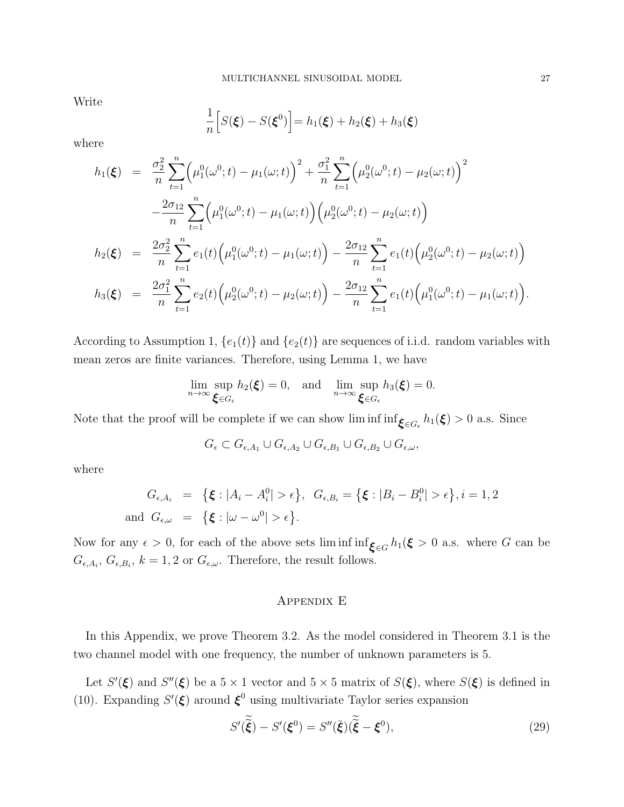Write

$$
\frac{1}{n}\Big[S(\boldsymbol{\xi})-S(\boldsymbol{\xi}^0)\Big]=h_1(\boldsymbol{\xi})+h_2(\boldsymbol{\xi})+h_3(\boldsymbol{\xi})
$$

where

$$
h_1(\boldsymbol{\xi}) = \frac{\sigma_2^2}{n} \sum_{t=1}^n \left( \mu_1^0(\omega^0; t) - \mu_1(\omega; t) \right)^2 + \frac{\sigma_1^2}{n} \sum_{t=1}^n \left( \mu_2^0(\omega^0; t) - \mu_2(\omega; t) \right)^2
$$
  

$$
- \frac{2\sigma_{12}}{n} \sum_{t=1}^n \left( \mu_1^0(\omega^0; t) - \mu_1(\omega; t) \right) \left( \mu_2^0(\omega^0; t) - \mu_2(\omega; t) \right)
$$
  

$$
h_2(\boldsymbol{\xi}) = \frac{2\sigma_2^2}{n} \sum_{t=1}^n e_1(t) \left( \mu_1^0(\omega^0; t) - \mu_1(\omega; t) \right) - \frac{2\sigma_{12}}{n} \sum_{t=1}^n e_1(t) \left( \mu_2^0(\omega^0; t) - \mu_2(\omega; t) \right)
$$
  

$$
h_3(\boldsymbol{\xi}) = \frac{2\sigma_1^2}{n} \sum_{t=1}^n e_2(t) \left( \mu_2^0(\omega^0; t) - \mu_2(\omega; t) \right) - \frac{2\sigma_{12}}{n} \sum_{t=1}^n e_1(t) \left( \mu_1^0(\omega^0; t) - \mu_1(\omega; t) \right).
$$

According to Assumption 1,  ${e_1(t)}$  and  ${e_2(t)}$  are sequences of i.i.d. random variables with mean zeros are finite variances. Therefore, using Lemma 1, we have

$$
\lim_{n\to\infty}\sup_{\boldsymbol{\xi}\in G_{\epsilon}}h_2(\boldsymbol{\xi})=0,\quad\text{and}\quad\lim_{n\to\infty}\sup_{\boldsymbol{\xi}\in G_{\epsilon}}h_3(\boldsymbol{\xi})=0.
$$

Note that the proof will be complete if we can show lim inf  $\inf_{\xi \in G_{\epsilon}} h_1(\xi) > 0$  a.s. Since

$$
G_{\epsilon} \subset G_{\epsilon,A_1} \cup G_{\epsilon,A_2} \cup G_{\epsilon,B_1} \cup G_{\epsilon,B_2} \cup G_{\epsilon,\omega},
$$

where

$$
G_{\epsilon, A_i} = \{\xi : |A_i - A_i^0| > \epsilon\}, \quad G_{\epsilon, B_i} = \{\xi : |B_i - B_i^0| > \epsilon\}, i = 1, 2
$$
  
and 
$$
G_{\epsilon, \omega} = \{\xi : |\omega - \omega^0| > \epsilon\}.
$$

Now for any  $\epsilon > 0$ , for each of the above sets liminf inf $\zeta \in G$  h<sub>1</sub>( $\xi > 0$  a.s. where G can be  $G_{\epsilon,A_i}, G_{\epsilon,B_i}, k = 1, 2 \text{ or } G_{\epsilon,\omega}.$  Therefore, the result follows.

### Appendix E

In this Appendix, we prove Theorem 3.2. As the model considered in Theorem 3.1 is the two channel model with one frequency, the number of unknown parameters is 5.

Let  $S'(\xi)$  and  $S''(\xi)$  be a  $5 \times 1$  vector and  $5 \times 5$  matrix of  $S(\xi)$ , where  $S(\xi)$  is defined in (10). Expanding  $S'(\xi)$  around  $\xi^0$  using multivariate Taylor series expansion

$$
S'(\tilde{\tilde{\xi}}) - S'(\xi^0) = S''(\bar{\xi})(\tilde{\tilde{\xi}} - \xi^0),\tag{29}
$$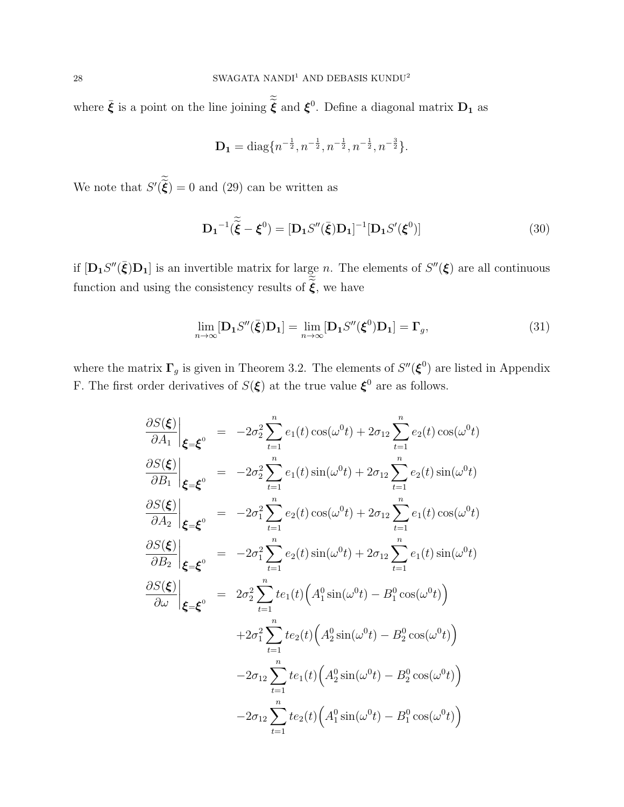where  $\bar{\xi}$  is a point on the line joining  $\tilde{\xi}$  and  $\xi^0$ . Define a diagonal matrix  $D_1$  as

$$
\mathbf{D_1} = \text{diag}\{n^{-\frac{1}{2}}, n^{-\frac{1}{2}}, n^{-\frac{1}{2}}, n^{-\frac{1}{2}}, n^{-\frac{3}{2}}\}.
$$

We note that  $S'(\tilde{\xi}) = 0$  and (29) can be written as

$$
\mathbf{D_1}^{-1}(\tilde{\tilde{\boldsymbol{\xi}}}-\boldsymbol{\xi}^0) = [\mathbf{D_1}S''(\bar{\boldsymbol{\xi}})\mathbf{D_1}]^{-1}[\mathbf{D_1}S'(\boldsymbol{\xi}^0)]
$$
\n(30)

if  $[D_1S''(\bar{\xi})D_1]$  is an invertible matrix for large n. The elements of  $S''(\xi)$  are all continuous function and using the consistency results of  $\widetilde{\xi},$  we have

$$
\lim_{n \to \infty} [\mathbf{D}_1 S''(\bar{\boldsymbol{\xi}}) \mathbf{D}_1] = \lim_{n \to \infty} [\mathbf{D}_1 S''(\boldsymbol{\xi}^0) \mathbf{D}_1] = \mathbf{\Gamma}_g,\tag{31}
$$

where the matrix  $\Gamma_g$  is given in Theorem 3.2. The elements of  $S''(\boldsymbol{\xi}^0)$  are listed in Appendix F. The first order derivatives of  $S(\xi)$  at the true value  $\xi^0$  are as follows.

$$
\frac{\partial S(\xi)}{\partial A_1} \Big|_{\xi = \xi^0} = -2\sigma_2^2 \sum_{t=1}^n e_1(t) \cos(\omega^0 t) + 2\sigma_{12} \sum_{t=1}^n e_2(t) \cos(\omega^0 t)
$$
\n
$$
\frac{\partial S(\xi)}{\partial B_1} \Big|_{\xi = \xi^0} = -2\sigma_2^2 \sum_{t=1}^n e_1(t) \sin(\omega^0 t) + 2\sigma_{12} \sum_{t=1}^n e_2(t) \sin(\omega^0 t)
$$
\n
$$
\frac{\partial S(\xi)}{\partial A_2} \Big|_{\xi = \xi^0} = -2\sigma_1^2 \sum_{t=1}^n e_2(t) \cos(\omega^0 t) + 2\sigma_{12} \sum_{t=1}^n e_1(t) \cos(\omega^0 t)
$$
\n
$$
\frac{\partial S(\xi)}{\partial B_2} \Big|_{\xi = \xi^0} = -2\sigma_1^2 \sum_{t=1}^n e_2(t) \sin(\omega^0 t) + 2\sigma_{12} \sum_{t=1}^n e_1(t) \sin(\omega^0 t)
$$
\n
$$
\frac{\partial S(\xi)}{\partial \omega} \Big|_{\xi = \xi^0} = 2\sigma_2^2 \sum_{t=1}^n t e_1(t) \Big( A_1^0 \sin(\omega^0 t) - B_1^0 \cos(\omega^0 t) \Big)
$$
\n
$$
+2\sigma_1^2 \sum_{t=1}^n t e_2(t) \Big( A_2^0 \sin(\omega^0 t) - B_2^0 \cos(\omega^0 t) \Big)
$$
\n
$$
-2\sigma_{12} \sum_{t=1}^n t e_1(t) \Big( A_2^0 \sin(\omega^0 t) - B_2^0 \cos(\omega^0 t) \Big)
$$
\n
$$
-2\sigma_{12} \sum_{t=1}^n t e_2(t) \Big( A_1^0 \sin(\omega^0 t) - B_1^0 \cos(\omega^0 t) \Big)
$$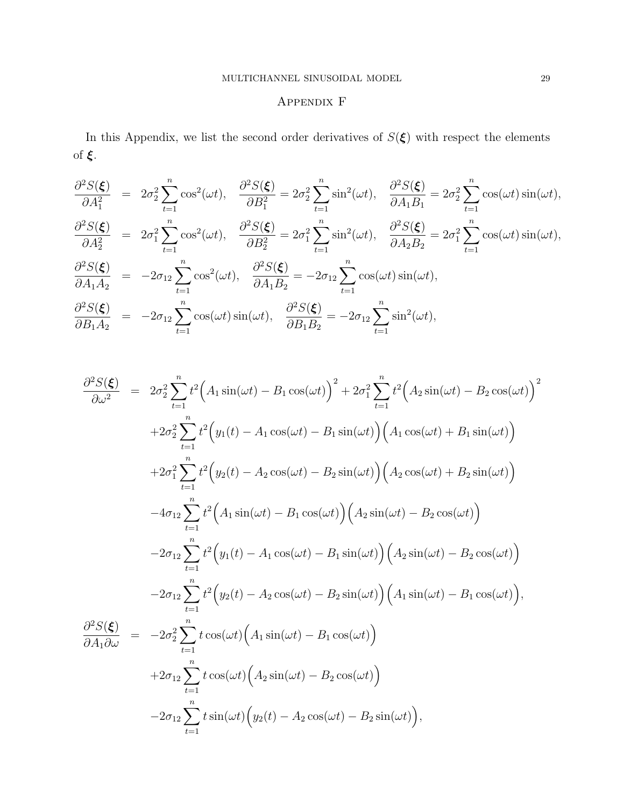# Appendix F

In this Appendix, we list the second order derivatives of  $S(\xi)$  with respect the elements of ξ.

$$
\frac{\partial^2 S(\boldsymbol{\xi})}{\partial A_1^2} = 2\sigma_2^2 \sum_{t=1}^n \cos^2(\omega t), \quad \frac{\partial^2 S(\boldsymbol{\xi})}{\partial B_1^2} = 2\sigma_2^2 \sum_{t=1}^n \sin^2(\omega t), \quad \frac{\partial^2 S(\boldsymbol{\xi})}{\partial A_1 B_1} = 2\sigma_2^2 \sum_{t=1}^n \cos(\omega t) \sin(\omega t),
$$
  

$$
\frac{\partial^2 S(\boldsymbol{\xi})}{\partial A_2^2} = 2\sigma_1^2 \sum_{t=1}^n \cos^2(\omega t), \quad \frac{\partial^2 S(\boldsymbol{\xi})}{\partial B_2^2} = 2\sigma_1^2 \sum_{t=1}^n \sin^2(\omega t), \quad \frac{\partial^2 S(\boldsymbol{\xi})}{\partial A_2 B_2} = 2\sigma_1^2 \sum_{t=1}^n \cos(\omega t) \sin(\omega t),
$$
  

$$
\frac{\partial^2 S(\boldsymbol{\xi})}{\partial A_1 A_2} = -2\sigma_{12} \sum_{t=1}^n \cos^2(\omega t), \quad \frac{\partial^2 S(\boldsymbol{\xi})}{\partial A_1 B_2} = -2\sigma_{12} \sum_{t=1}^n \cos(\omega t) \sin(\omega t),
$$
  

$$
\frac{\partial^2 S(\boldsymbol{\xi})}{\partial B_1 A_2} = -2\sigma_{12} \sum_{t=1}^n \cos(\omega t) \sin(\omega t), \quad \frac{\partial^2 S(\boldsymbol{\xi})}{\partial B_1 B_2} = -2\sigma_{12} \sum_{t=1}^n \sin^2(\omega t),
$$

$$
\frac{\partial^2 S(\xi)}{\partial \omega^2} = 2\sigma_2^2 \sum_{t=1}^n t^2 \Big( A_1 \sin(\omega t) - B_1 \cos(\omega t) \Big)^2 + 2\sigma_1^2 \sum_{t=1}^n t^2 \Big( A_2 \sin(\omega t) - B_2 \cos(\omega t) \Big)^2
$$
  
+2\sigma\_2^2 \sum\_{t=1}^n t^2 \Big( y\_1(t) - A\_1 \cos(\omega t) - B\_1 \sin(\omega t) \Big) \Big( A\_1 \cos(\omega t) + B\_1 \sin(\omega t) \Big)  
+2\sigma\_1^2 \sum\_{t=1}^n t^2 \Big( y\_2(t) - A\_2 \cos(\omega t) - B\_2 \sin(\omega t) \Big) \Big( A\_2 \cos(\omega t) + B\_2 \sin(\omega t) \Big)  
-4\sigma\_{12} \sum\_{t=1}^n t^2 \Big( A\_1 \sin(\omega t) - B\_1 \cos(\omega t) \Big) \Big( A\_2 \sin(\omega t) - B\_2 \cos(\omega t) \Big)  
-2\sigma\_{12} \sum\_{t=1}^n t^2 \Big( y\_1(t) - A\_1 \cos(\omega t) - B\_1 \sin(\omega t) \Big) \Big( A\_2 \sin(\omega t) - B\_2 \cos(\omega t) \Big)  
-2\sigma\_{12} \sum\_{t=1}^n t^2 \Big( y\_2(t) - A\_2 \cos(\omega t) - B\_2 \sin(\omega t) \Big) \Big( A\_1 \sin(\omega t) - B\_1 \cos(\omega t) \Big),  
\frac{\partial^2 S(\xi)}{\partial A\_1 \partial \omega} = -2\sigma\_2^2 \sum\_{t=1}^n t \cos(\omega t) \Big( A\_1 \sin(\omega t) - B\_1 \cos(\omega t) \Big)  
+2\sigma\_{12} \sum\_{t=1}^n t \cos(\omega t) \Big( A\_2 \sin(\omega t) - B\_2 \cos(\omega t) \Big)  
-2\sigma\_{12} \sum\_{t=1}^n t \sin(\omega t) \Big( y\_2(t) - A\_2 \cos(\omega t) - B\_2 \sin(\omega t) \Big),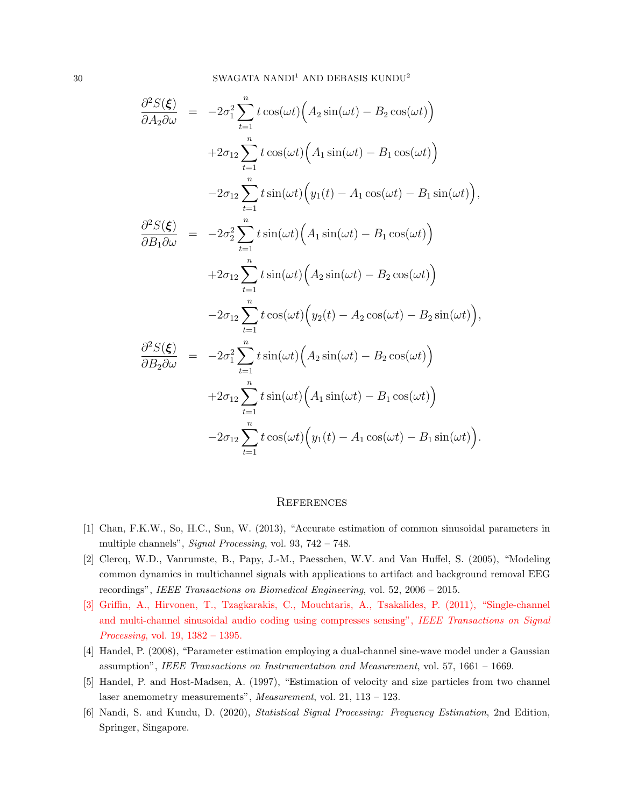$$
\frac{\partial^2 S(\boldsymbol{\xi})}{\partial A_2 \partial \omega} = -2\sigma_1^2 \sum_{t=1}^n t \cos(\omega t) \Big( A_2 \sin(\omega t) - B_2 \cos(\omega t) \Big) \n+2\sigma_{12} \sum_{t=1}^n t \cos(\omega t) \Big( A_1 \sin(\omega t) - B_1 \cos(\omega t) \Big) \n-2\sigma_{12} \sum_{t=1}^n t \sin(\omega t) \Big( y_1(t) - A_1 \cos(\omega t) - B_1 \sin(\omega t) \Big),
$$
\n
$$
\frac{\partial^2 S(\boldsymbol{\xi})}{\partial B_1 \partial \omega} = -2\sigma_2^2 \sum_{t=1}^n t \sin(\omega t) \Big( A_1 \sin(\omega t) - B_1 \cos(\omega t) \Big) \n+2\sigma_{12} \sum_{t=1}^n t \sin(\omega t) \Big( A_2 \sin(\omega t) - B_2 \cos(\omega t) \Big) \n-2\sigma_{12} \sum_{t=1}^n t \cos(\omega t) \Big( y_2(t) - A_2 \cos(\omega t) - B_2 \sin(\omega t) \Big),
$$
\n
$$
\frac{\partial^2 S(\boldsymbol{\xi})}{\partial B_2 \partial \omega} = -2\sigma_1^2 \sum_{t=1}^n t \sin(\omega t) \Big( A_2 \sin(\omega t) - B_2 \cos(\omega t) \Big) \n+2\sigma_{12} \sum_{t=1}^n t \sin(\omega t) \Big( A_1 \sin(\omega t) - B_1 \cos(\omega t) \Big) \n-2\sigma_{12} \sum_{t=1}^n t \cos(\omega t) \Big( y_1(t) - A_1 \cos(\omega t) - B_1 \sin(\omega t) \Big).
$$

#### **REFERENCES**

- [1] Chan, F.K.W., So, H.C., Sun, W. (2013), "Accurate estimation of common sinusoidal parameters in multiple channels", Signal Processing, vol. 93, 742 – 748.
- [2] Clercq, W.D., Vanrumste, B., Papy, J.-M., Paesschen, W.V. and Van Huffel, S. (2005), "Modeling common dynamics in multichannel signals with applications to artifact and background removal EEG recordings", IEEE Transactions on Biomedical Engineering, vol. 52, 2006 – 2015.
- [3] Griffin, A., Hirvonen, T., Tzagkarakis, C., Mouchtaris, A., Tsakalides, P. (2011), "Single-channel and multi-channel sinusoidal audio coding using compresses sensing", IEEE Transactions on Signal Processing, vol. 19, 1382 – 1395.
- [4] Handel, P. (2008), "Parameter estimation employing a dual-channel sine-wave model under a Gaussian assumption", IEEE Transactions on Instrumentation and Measurement, vol. 57, 1661 – 1669.
- [5] Handel, P. and Host-Madsen, A. (1997), "Estimation of velocity and size particles from two channel laser anemometry measurements", Measurement, vol. 21, 113 – 123.
- [6] Nandi, S. and Kundu, D. (2020), Statistical Signal Processing: Frequency Estimation, 2nd Edition, Springer, Singapore.